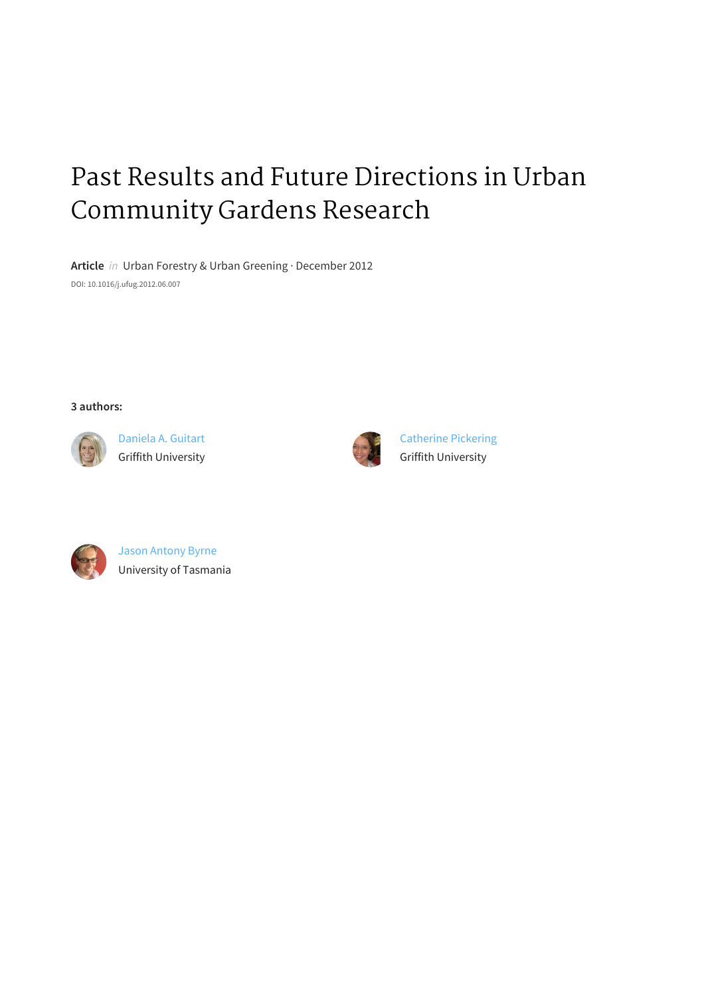# Past Results and Future Directions in Urban Community Gardens Research

Article in Urban Forestry & Urban Greening · December 2012 DOI: 10.1016/j.ufug.2012.06.007

**3 authors:**



Daniela A. Guitart **Griffith University** 



**Catherine Pickering Griffith University** 



Jason Antony Byrne University of Tasmania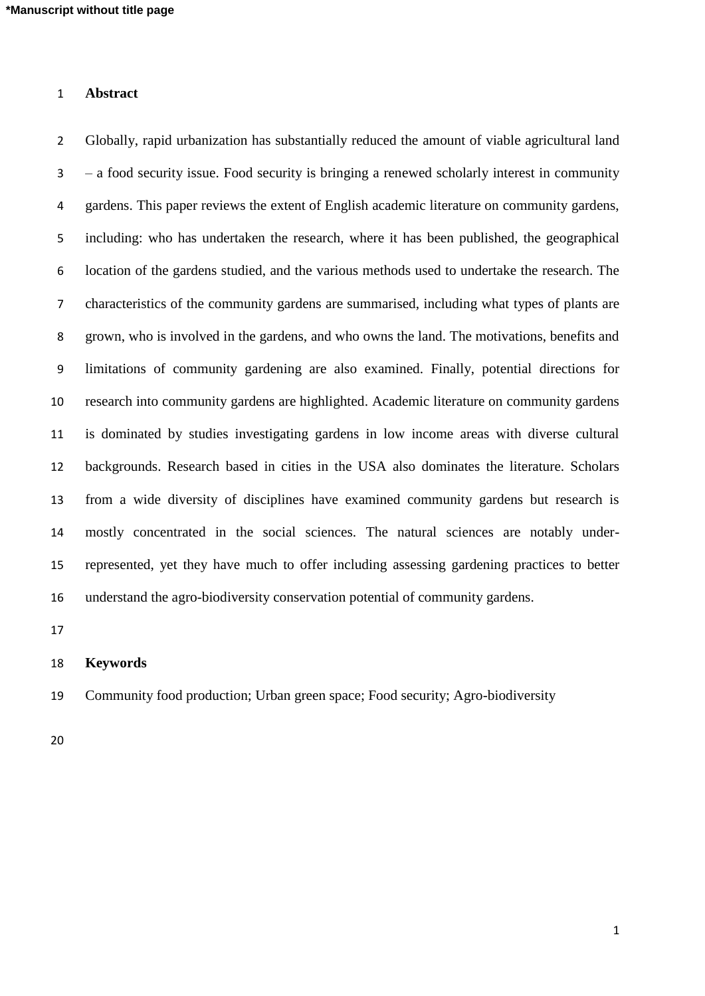# **Abstract**

 Globally, rapid urbanization has substantially reduced the amount of viable agricultural land – a food security issue. Food security is bringing a renewed scholarly interest in community gardens. This paper reviews the extent of English academic literature on community gardens, including: who has undertaken the research, where it has been published, the geographical location of the gardens studied, and the various methods used to undertake the research. The characteristics of the community gardens are summarised, including what types of plants are grown, who is involved in the gardens, and who owns the land. The motivations, benefits and limitations of community gardening are also examined. Finally, potential directions for research into community gardens are highlighted. Academic literature on community gardens is dominated by studies investigating gardens in low income areas with diverse cultural backgrounds. Research based in cities in the USA also dominates the literature. Scholars from a wide diversity of disciplines have examined community gardens but research is mostly concentrated in the social sciences. The natural sciences are notably under- represented, yet they have much to offer including assessing gardening practices to better understand the agro-biodiversity conservation potential of community gardens.

#### **Keywords**

Community food production; Urban green space; Food security; Agro-biodiversity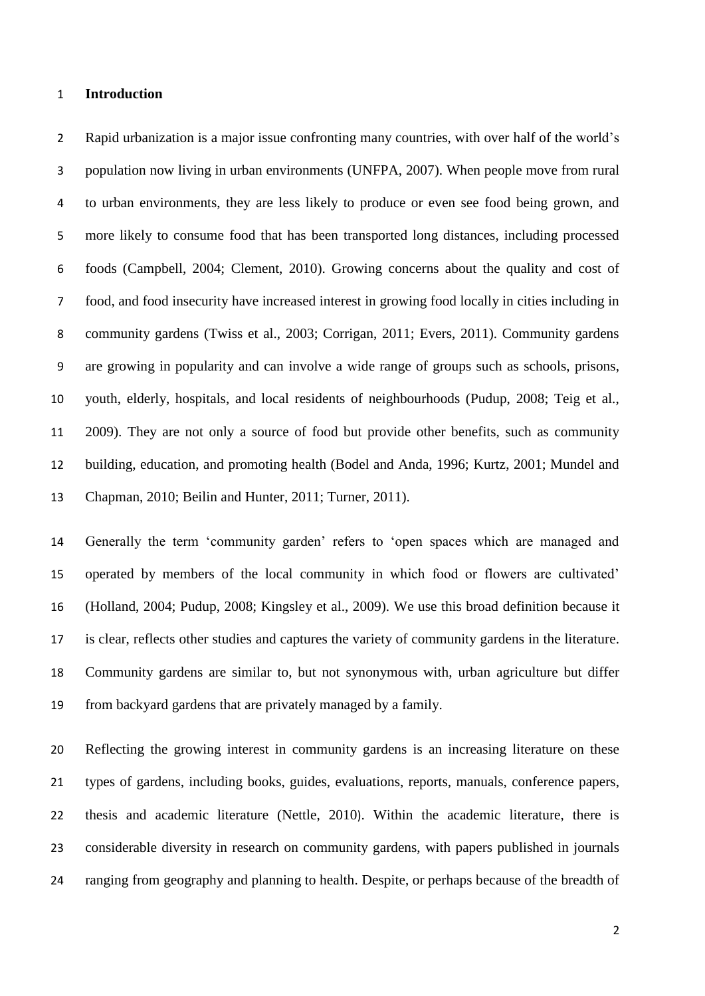#### **Introduction**

 Rapid urbanization is a major issue confronting many countries, with over half of the world's population now living in urban environments (UNFPA, 2007). When people move from rural to urban environments, they are less likely to produce or even see food being grown, and more likely to consume food that has been transported long distances, including processed foods (Campbell, 2004; Clement, 2010). Growing concerns about the quality and cost of food, and food insecurity have increased interest in growing food locally in cities including in community gardens (Twiss et al., 2003; Corrigan, 2011; Evers, 2011). Community gardens are growing in popularity and can involve a wide range of groups such as schools, prisons, youth, elderly, hospitals, and local residents of neighbourhoods (Pudup, 2008; Teig et al., 2009). They are not only a source of food but provide other benefits, such as community building, education, and promoting health (Bodel and Anda, 1996; Kurtz, 2001; Mundel and Chapman, 2010; Beilin and Hunter, 2011; Turner, 2011).

 Generally the term 'community garden' refers to 'open spaces which are managed and operated by members of the local community in which food or flowers are cultivated' (Holland, 2004; Pudup, 2008; Kingsley et al., 2009). We use this broad definition because it is clear, reflects other studies and captures the variety of community gardens in the literature. Community gardens are similar to, but not synonymous with, urban agriculture but differ from backyard gardens that are privately managed by a family.

 Reflecting the growing interest in community gardens is an increasing literature on these types of gardens, including books, guides, evaluations, reports, manuals, conference papers, thesis and academic literature (Nettle, 2010). Within the academic literature, there is considerable diversity in research on community gardens, with papers published in journals ranging from geography and planning to health. Despite, or perhaps because of the breadth of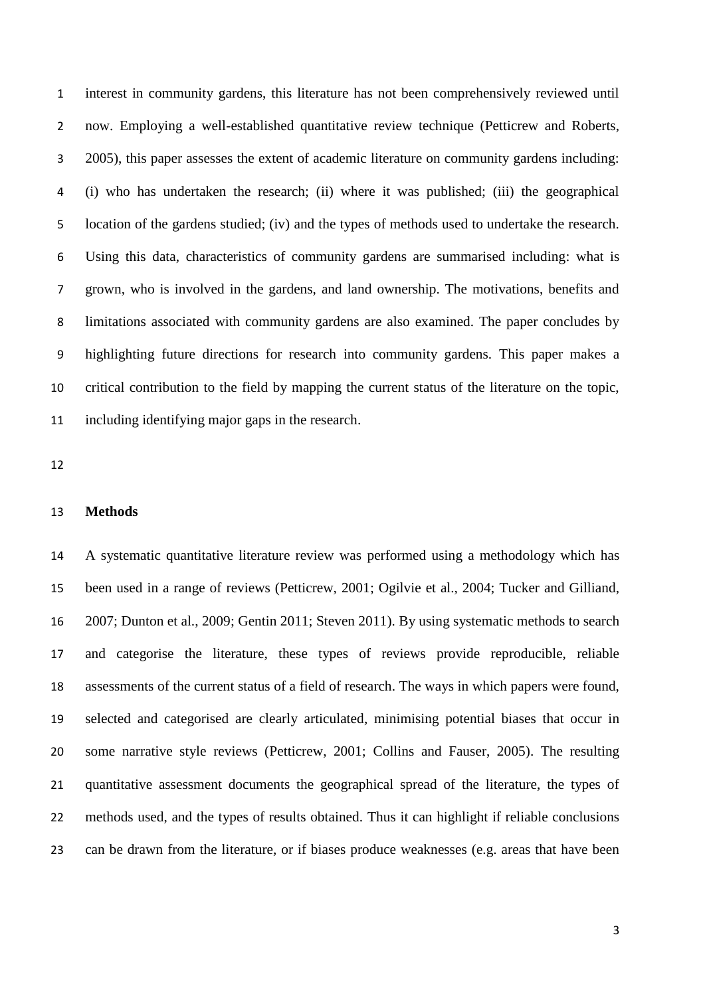interest in community gardens, this literature has not been comprehensively reviewed until now. Employing a well-established quantitative review technique (Petticrew and Roberts, 2005), this paper assesses the extent of academic literature on community gardens including: (i) who has undertaken the research; (ii) where it was published; (iii) the geographical location of the gardens studied; (iv) and the types of methods used to undertake the research. Using this data, characteristics of community gardens are summarised including: what is grown, who is involved in the gardens, and land ownership. The motivations, benefits and limitations associated with community gardens are also examined. The paper concludes by highlighting future directions for research into community gardens. This paper makes a critical contribution to the field by mapping the current status of the literature on the topic, including identifying major gaps in the research.

# **Methods**

 A systematic quantitative literature review was performed using a methodology which has been used in a range of reviews (Petticrew, 2001; Ogilvie et al., 2004; Tucker and Gilliand, 2007; Dunton et al., 2009; Gentin 2011; Steven 2011). By using systematic methods to search and categorise the literature, these types of reviews provide reproducible, reliable assessments of the current status of a field of research. The ways in which papers were found, selected and categorised are clearly articulated, minimising potential biases that occur in some narrative style reviews (Petticrew, 2001; Collins and Fauser, 2005). The resulting quantitative assessment documents the geographical spread of the literature, the types of methods used, and the types of results obtained. Thus it can highlight if reliable conclusions can be drawn from the literature, or if biases produce weaknesses (e.g. areas that have been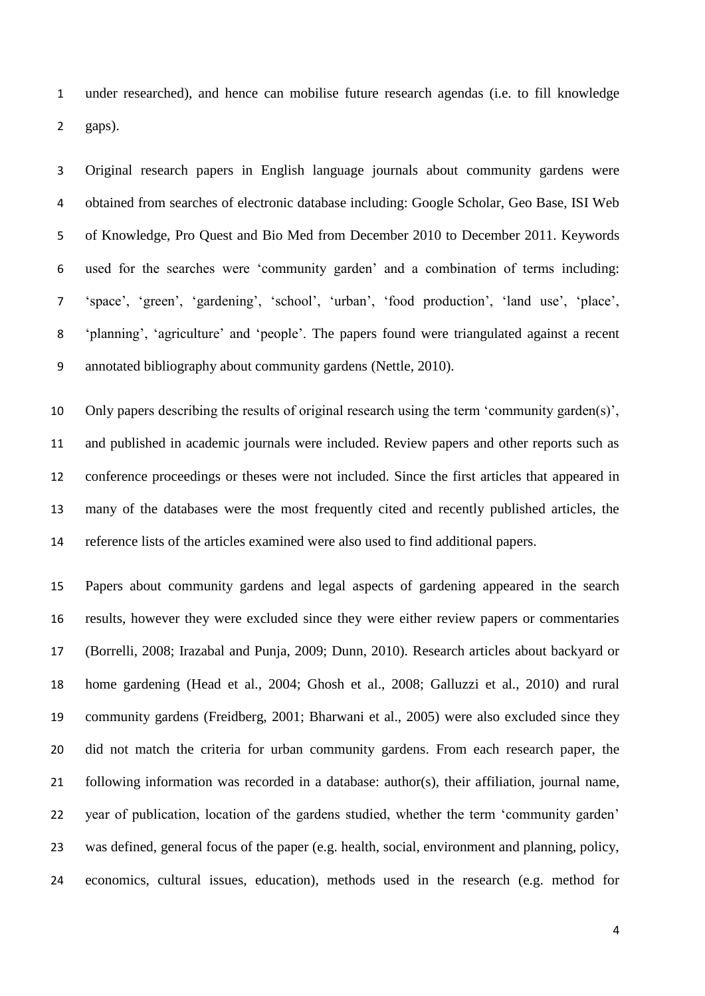under researched), and hence can mobilise future research agendas (i.e. to fill knowledge gaps).

 Original research papers in English language journals about community gardens were obtained from searches of electronic database including: Google Scholar, Geo Base, ISI Web of Knowledge, Pro Quest and Bio Med from December 2010 to December 2011. Keywords used for the searches were 'community garden' and a combination of terms including: 'space', 'green', 'gardening', 'school', 'urban', 'food production', 'land use', 'place', 'planning', 'agriculture' and 'people'. The papers found were triangulated against a recent annotated bibliography about community gardens (Nettle, 2010).

 Only papers describing the results of original research using the term 'community garden(s)', and published in academic journals were included. Review papers and other reports such as conference proceedings or theses were not included. Since the first articles that appeared in many of the databases were the most frequently cited and recently published articles, the reference lists of the articles examined were also used to find additional papers.

 Papers about community gardens and legal aspects of gardening appeared in the search results, however they were excluded since they were either review papers or commentaries (Borrelli, 2008; Irazabal and Punja, 2009; Dunn, 2010). Research articles about backyard or home gardening (Head et al., 2004; Ghosh et al., 2008; Galluzzi et al., 2010) and rural community gardens (Freidberg, 2001; Bharwani et al., 2005) were also excluded since they did not match the criteria for urban community gardens. From each research paper, the following information was recorded in a database: author(s), their affiliation, journal name, year of publication, location of the gardens studied, whether the term 'community garden' was defined, general focus of the paper (e.g. health, social, environment and planning, policy, economics, cultural issues, education), methods used in the research (e.g. method for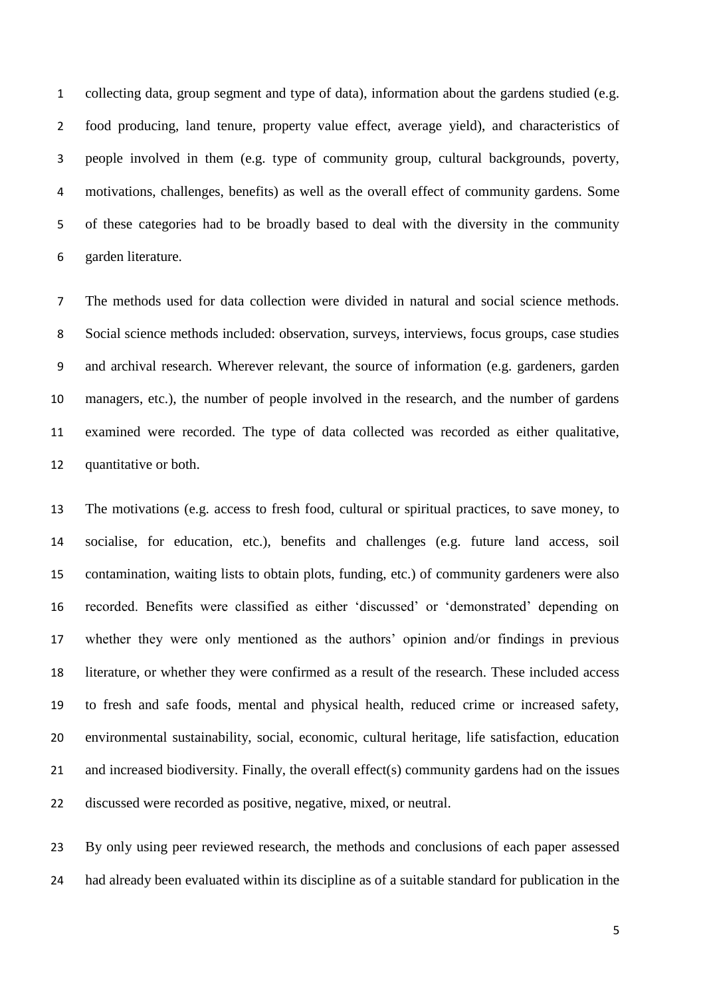collecting data, group segment and type of data), information about the gardens studied (e.g. food producing, land tenure, property value effect, average yield), and characteristics of people involved in them (e.g. type of community group, cultural backgrounds, poverty, motivations, challenges, benefits) as well as the overall effect of community gardens. Some of these categories had to be broadly based to deal with the diversity in the community garden literature.

 The methods used for data collection were divided in natural and social science methods. Social science methods included: observation, surveys, interviews, focus groups, case studies and archival research. Wherever relevant, the source of information (e.g. gardeners, garden managers, etc.), the number of people involved in the research, and the number of gardens examined were recorded. The type of data collected was recorded as either qualitative, quantitative or both.

 The motivations (e.g. access to fresh food, cultural or spiritual practices, to save money, to socialise, for education, etc.), benefits and challenges (e.g. future land access, soil contamination, waiting lists to obtain plots, funding, etc.) of community gardeners were also recorded. Benefits were classified as either 'discussed' or 'demonstrated' depending on whether they were only mentioned as the authors' opinion and/or findings in previous literature, or whether they were confirmed as a result of the research. These included access to fresh and safe foods, mental and physical health, reduced crime or increased safety, environmental sustainability, social, economic, cultural heritage, life satisfaction, education and increased biodiversity. Finally, the overall effect(s) community gardens had on the issues discussed were recorded as positive, negative, mixed, or neutral.

 By only using peer reviewed research, the methods and conclusions of each paper assessed had already been evaluated within its discipline as of a suitable standard for publication in the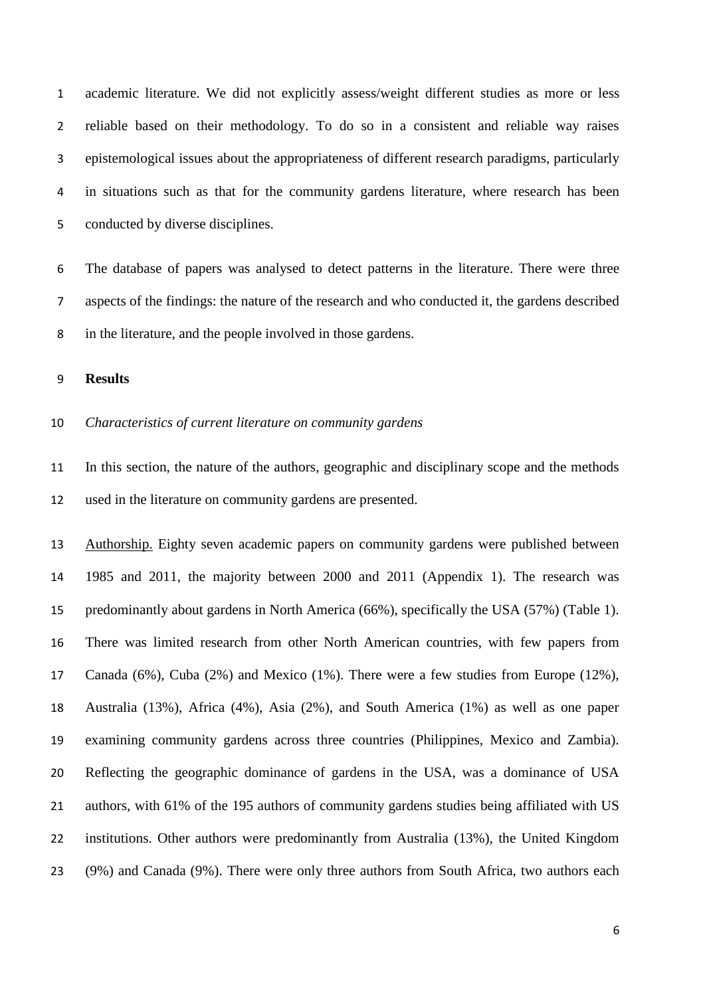academic literature. We did not explicitly assess/weight different studies as more or less reliable based on their methodology. To do so in a consistent and reliable way raises epistemological issues about the appropriateness of different research paradigms, particularly in situations such as that for the community gardens literature, where research has been conducted by diverse disciplines.

 The database of papers was analysed to detect patterns in the literature. There were three aspects of the findings: the nature of the research and who conducted it, the gardens described in the literature, and the people involved in those gardens.

**Results** 

# *Characteristics of current literature on community gardens*

 In this section, the nature of the authors, geographic and disciplinary scope and the methods used in the literature on community gardens are presented.

 Authorship. Eighty seven academic papers on community gardens were published between 1985 and 2011, the majority between 2000 and 2011 (Appendix 1). The research was predominantly about gardens in North America (66%), specifically the USA (57%) (Table 1). There was limited research from other North American countries, with few papers from Canada (6%), Cuba (2%) and Mexico (1%). There were a few studies from Europe (12%), Australia (13%), Africa (4%), Asia (2%), and South America (1%) as well as one paper examining community gardens across three countries (Philippines, Mexico and Zambia). Reflecting the geographic dominance of gardens in the USA, was a dominance of USA authors, with 61% of the 195 authors of community gardens studies being affiliated with US institutions. Other authors were predominantly from Australia (13%), the United Kingdom (9%) and Canada (9%). There were only three authors from South Africa, two authors each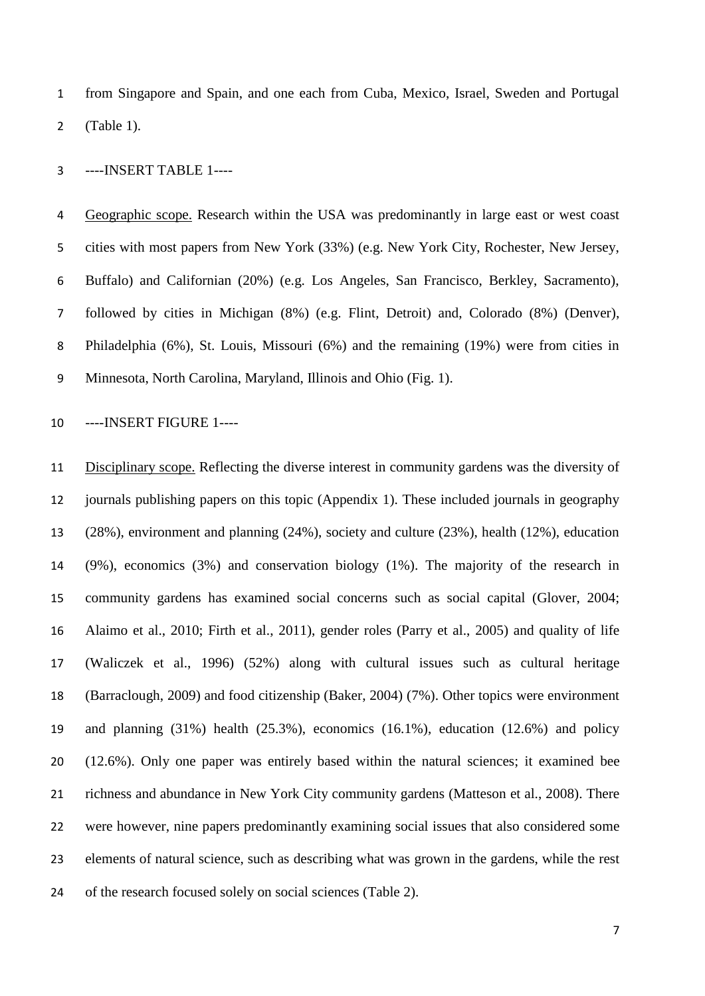from Singapore and Spain, and one each from Cuba, Mexico, Israel, Sweden and Portugal (Table 1).

----INSERT TABLE 1----

 Geographic scope. Research within the USA was predominantly in large east or west coast cities with most papers from New York (33%) (e.g. New York City, Rochester, New Jersey, Buffalo) and Californian (20%) (e.g. Los Angeles, San Francisco, Berkley, Sacramento), followed by cities in Michigan (8%) (e.g. Flint, Detroit) and, Colorado (8%) (Denver), Philadelphia (6%), St. Louis, Missouri (6%) and the remaining (19%) were from cities in Minnesota, North Carolina, Maryland, Illinois and Ohio (Fig. 1).

----INSERT FIGURE 1----

 Disciplinary scope. Reflecting the diverse interest in community gardens was the diversity of journals publishing papers on this topic (Appendix 1). These included journals in geography (28%), environment and planning (24%), society and culture (23%), health (12%), education (9%), economics (3%) and conservation biology (1%). The majority of the research in community gardens has examined social concerns such as social capital (Glover, 2004; Alaimo et al., 2010; Firth et al., 2011), gender roles (Parry et al., 2005) and quality of life (Waliczek et al., 1996) (52%) along with cultural issues such as cultural heritage (Barraclough, 2009) and food citizenship (Baker, 2004) (7%). Other topics were environment and planning (31%) health (25.3%), economics (16.1%), education (12.6%) and policy (12.6%). Only one paper was entirely based within the natural sciences; it examined bee richness and abundance in New York City community gardens (Matteson et al., 2008). There were however, nine papers predominantly examining social issues that also considered some elements of natural science, such as describing what was grown in the gardens, while the rest 24 of the research focused solely on social sciences (Table 2).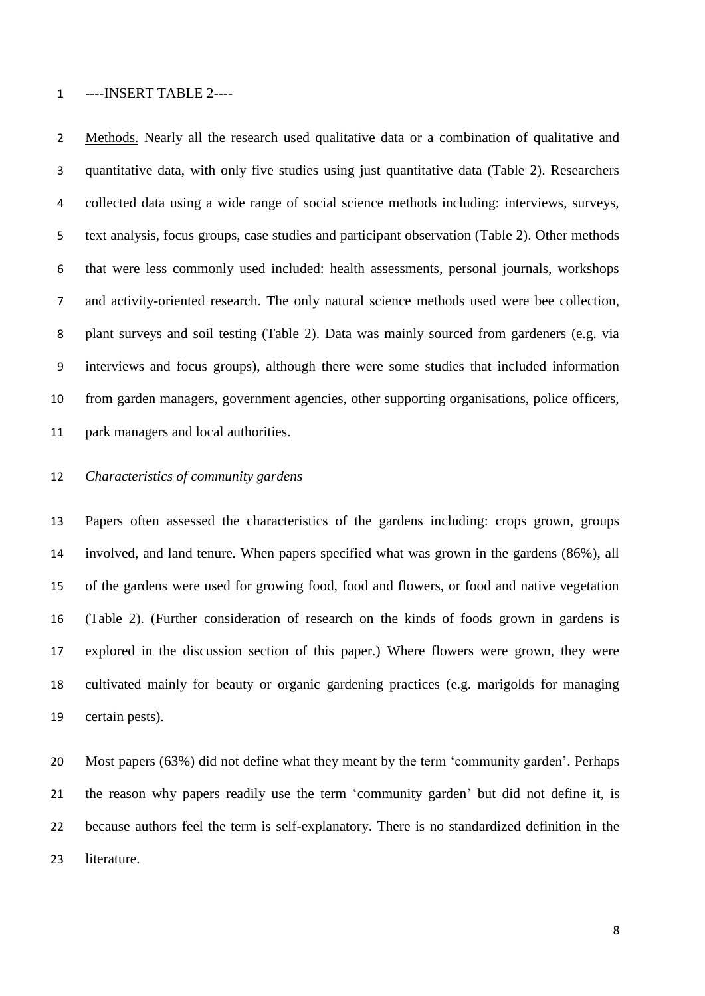#### ----INSERT TABLE 2----

 Methods. Nearly all the research used qualitative data or a combination of qualitative and quantitative data, with only five studies using just quantitative data (Table 2). Researchers collected data using a wide range of social science methods including: interviews, surveys, text analysis, focus groups, case studies and participant observation (Table 2). Other methods that were less commonly used included: health assessments, personal journals, workshops and activity-oriented research. The only natural science methods used were bee collection, plant surveys and soil testing (Table 2). Data was mainly sourced from gardeners (e.g. via interviews and focus groups), although there were some studies that included information from garden managers, government agencies, other supporting organisations, police officers, park managers and local authorities.

# *Characteristics of community gardens*

 Papers often assessed the characteristics of the gardens including: crops grown, groups involved, and land tenure. When papers specified what was grown in the gardens (86%), all of the gardens were used for growing food, food and flowers, or food and native vegetation (Table 2). (Further consideration of research on the kinds of foods grown in gardens is explored in the discussion section of this paper.) Where flowers were grown, they were cultivated mainly for beauty or organic gardening practices (e.g. marigolds for managing certain pests).

 Most papers (63%) did not define what they meant by the term 'community garden'. Perhaps the reason why papers readily use the term 'community garden' but did not define it, is because authors feel the term is self-explanatory. There is no standardized definition in the literature.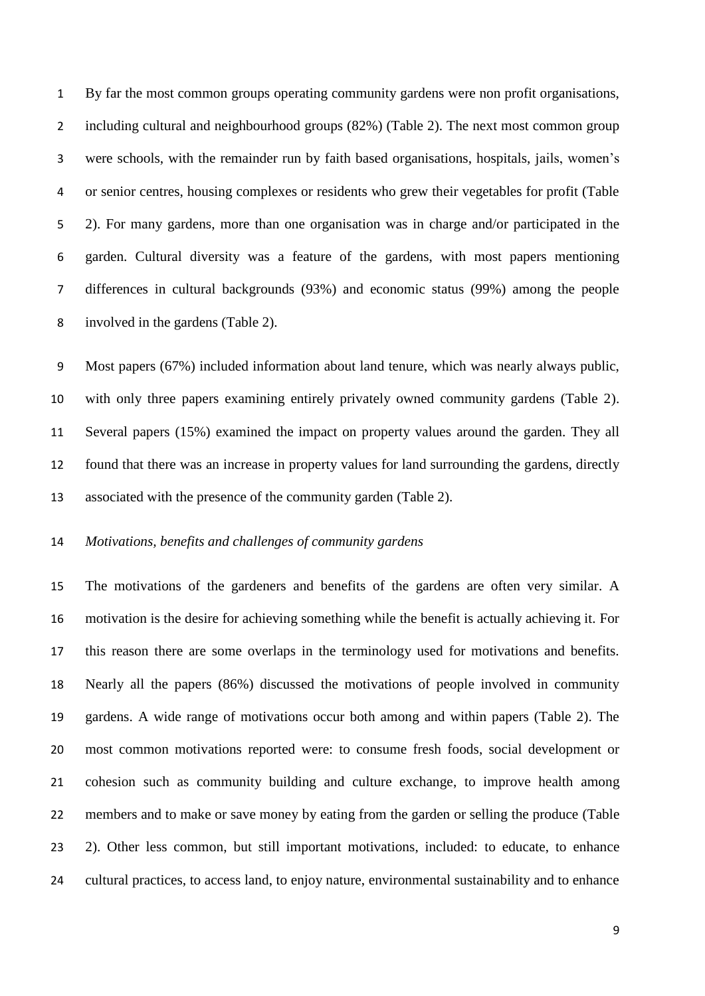By far the most common groups operating community gardens were non profit organisations, including cultural and neighbourhood groups (82%) (Table 2). The next most common group were schools, with the remainder run by faith based organisations, hospitals, jails, women's or senior centres, housing complexes or residents who grew their vegetables for profit (Table 2). For many gardens, more than one organisation was in charge and/or participated in the garden. Cultural diversity was a feature of the gardens, with most papers mentioning differences in cultural backgrounds (93%) and economic status (99%) among the people involved in the gardens (Table 2).

 Most papers (67%) included information about land tenure, which was nearly always public, with only three papers examining entirely privately owned community gardens (Table 2). Several papers (15%) examined the impact on property values around the garden. They all found that there was an increase in property values for land surrounding the gardens, directly associated with the presence of the community garden (Table 2).

# *Motivations, benefits and challenges of community gardens*

 The motivations of the gardeners and benefits of the gardens are often very similar. A motivation is the desire for achieving something while the benefit is actually achieving it. For this reason there are some overlaps in the terminology used for motivations and benefits. Nearly all the papers (86%) discussed the motivations of people involved in community gardens. A wide range of motivations occur both among and within papers (Table 2). The most common motivations reported were: to consume fresh foods, social development or cohesion such as community building and culture exchange, to improve health among members and to make or save money by eating from the garden or selling the produce (Table 2). Other less common, but still important motivations, included: to educate, to enhance cultural practices, to access land, to enjoy nature, environmental sustainability and to enhance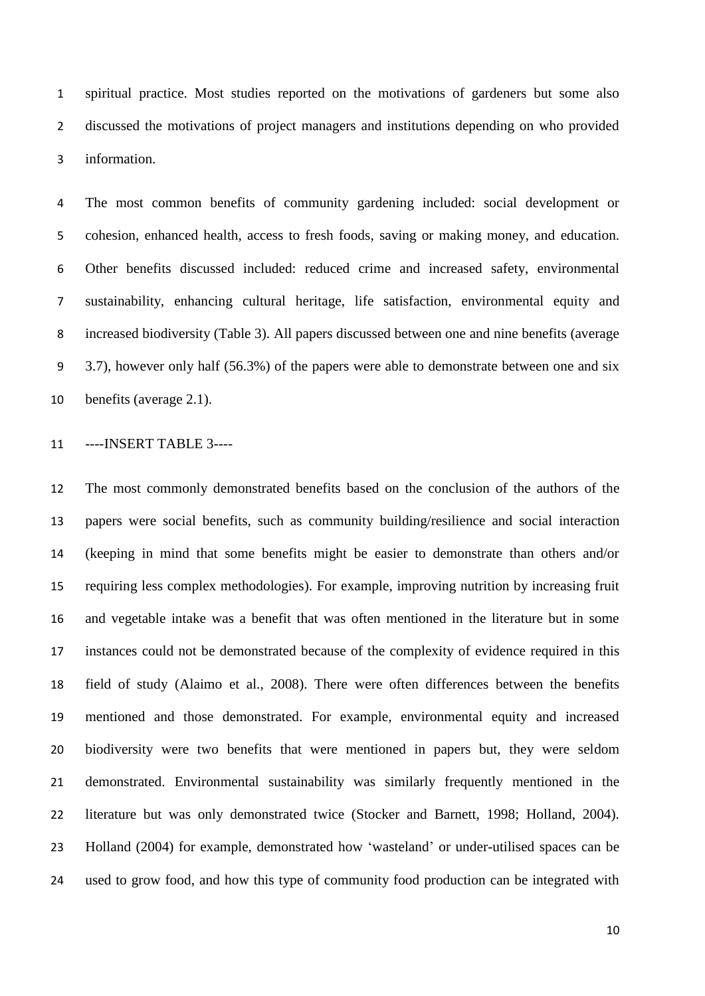spiritual practice. Most studies reported on the motivations of gardeners but some also discussed the motivations of project managers and institutions depending on who provided information.

 The most common benefits of community gardening included: social development or cohesion, enhanced health, access to fresh foods, saving or making money, and education. Other benefits discussed included: reduced crime and increased safety, environmental sustainability, enhancing cultural heritage, life satisfaction, environmental equity and increased biodiversity (Table 3). All papers discussed between one and nine benefits (average 3.7), however only half (56.3%) of the papers were able to demonstrate between one and six benefits (average 2.1).

----INSERT TABLE 3----

 The most commonly demonstrated benefits based on the conclusion of the authors of the papers were social benefits, such as community building/resilience and social interaction (keeping in mind that some benefits might be easier to demonstrate than others and/or requiring less complex methodologies). For example, improving nutrition by increasing fruit and vegetable intake was a benefit that was often mentioned in the literature but in some instances could not be demonstrated because of the complexity of evidence required in this field of study (Alaimo et al., 2008). There were often differences between the benefits mentioned and those demonstrated. For example, environmental equity and increased biodiversity were two benefits that were mentioned in papers but, they were seldom demonstrated. Environmental sustainability was similarly frequently mentioned in the literature but was only demonstrated twice (Stocker and Barnett, 1998; Holland, 2004). Holland (2004) for example, demonstrated how 'wasteland' or under-utilised spaces can be used to grow food, and how this type of community food production can be integrated with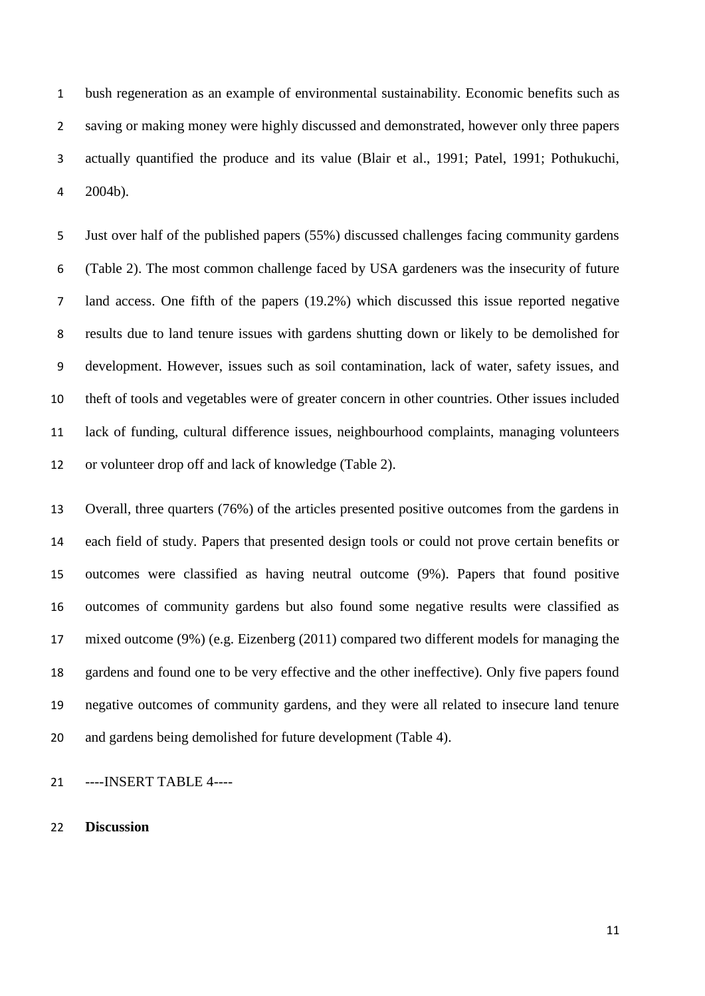bush regeneration as an example of environmental sustainability. Economic benefits such as saving or making money were highly discussed and demonstrated, however only three papers actually quantified the produce and its value (Blair et al., 1991; Patel, 1991; Pothukuchi, 2004b).

 Just over half of the published papers (55%) discussed challenges facing community gardens (Table 2). The most common challenge faced by USA gardeners was the insecurity of future land access. One fifth of the papers (19.2%) which discussed this issue reported negative results due to land tenure issues with gardens shutting down or likely to be demolished for development. However, issues such as soil contamination, lack of water, safety issues, and theft of tools and vegetables were of greater concern in other countries. Other issues included lack of funding, cultural difference issues, neighbourhood complaints, managing volunteers or volunteer drop off and lack of knowledge (Table 2).

 Overall, three quarters (76%) of the articles presented positive outcomes from the gardens in each field of study. Papers that presented design tools or could not prove certain benefits or outcomes were classified as having neutral outcome (9%). Papers that found positive outcomes of community gardens but also found some negative results were classified as mixed outcome (9%) (e.g. Eizenberg (2011) compared two different models for managing the gardens and found one to be very effective and the other ineffective). Only five papers found negative outcomes of community gardens, and they were all related to insecure land tenure and gardens being demolished for future development (Table 4).

----INSERT TABLE 4----

**Discussion**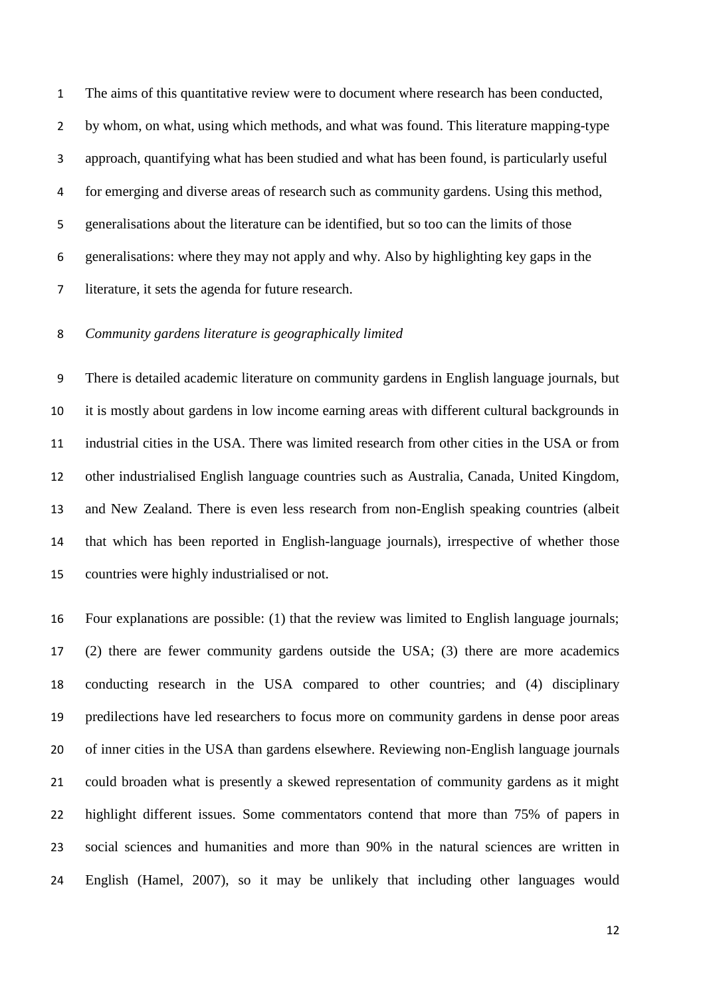The aims of this quantitative review were to document where research has been conducted, by whom, on what, using which methods, and what was found. This literature mapping-type approach, quantifying what has been studied and what has been found, is particularly useful for emerging and diverse areas of research such as community gardens. Using this method, generalisations about the literature can be identified, but so too can the limits of those generalisations: where they may not apply and why. Also by highlighting key gaps in the literature, it sets the agenda for future research.

# *Community gardens literature is geographically limited*

 There is detailed academic literature on community gardens in English language journals, but it is mostly about gardens in low income earning areas with different cultural backgrounds in industrial cities in the USA. There was limited research from other cities in the USA or from other industrialised English language countries such as Australia, Canada, United Kingdom, and New Zealand. There is even less research from non-English speaking countries (albeit that which has been reported in English-language journals), irrespective of whether those countries were highly industrialised or not.

 Four explanations are possible: (1) that the review was limited to English language journals; (2) there are fewer community gardens outside the USA; (3) there are more academics conducting research in the USA compared to other countries; and (4) disciplinary predilections have led researchers to focus more on community gardens in dense poor areas of inner cities in the USA than gardens elsewhere. Reviewing non-English language journals could broaden what is presently a skewed representation of community gardens as it might highlight different issues. Some commentators contend that more than 75% of papers in social sciences and humanities and more than 90% in the natural sciences are written in English (Hamel, 2007), so it may be unlikely that including other languages would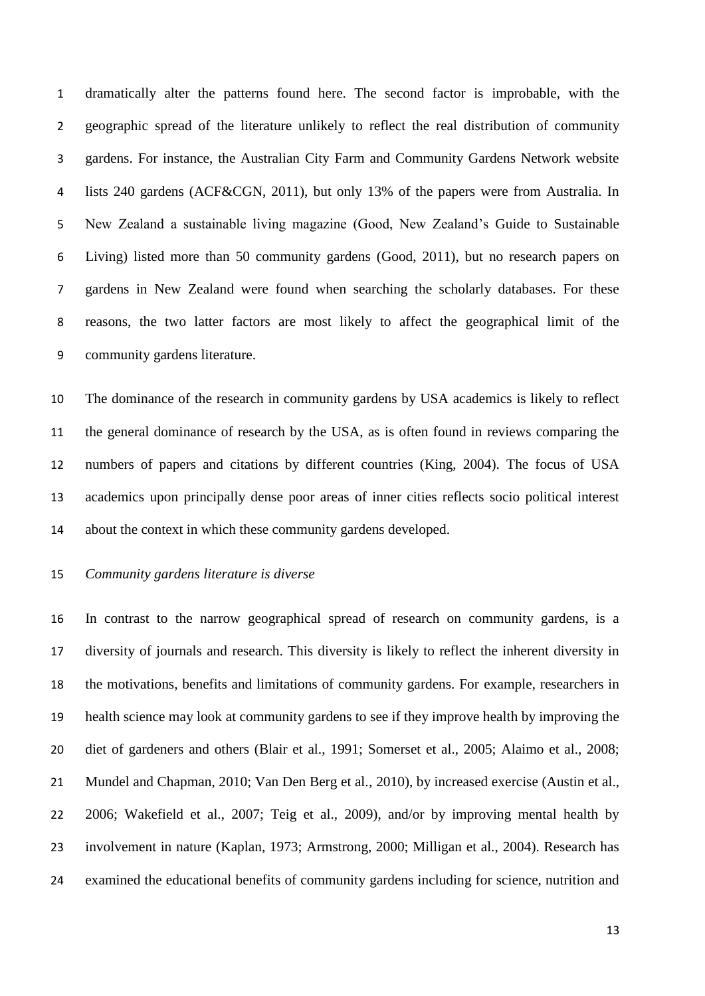dramatically alter the patterns found here. The second factor is improbable, with the geographic spread of the literature unlikely to reflect the real distribution of community gardens. For instance, the Australian City Farm and Community Gardens Network website lists 240 gardens (ACF&CGN, 2011), but only 13% of the papers were from Australia. In New Zealand a sustainable living magazine (Good, New Zealand's Guide to Sustainable Living) listed more than 50 community gardens (Good, 2011), but no research papers on gardens in New Zealand were found when searching the scholarly databases. For these reasons, the two latter factors are most likely to affect the geographical limit of the community gardens literature.

 The dominance of the research in community gardens by USA academics is likely to reflect the general dominance of research by the USA, as is often found in reviews comparing the numbers of papers and citations by different countries (King, 2004). The focus of USA academics upon principally dense poor areas of inner cities reflects socio political interest about the context in which these community gardens developed.

### *Community gardens literature is diverse*

 In contrast to the narrow geographical spread of research on community gardens, is a diversity of journals and research. This diversity is likely to reflect the inherent diversity in the motivations, benefits and limitations of community gardens. For example, researchers in health science may look at community gardens to see if they improve health by improving the diet of gardeners and others (Blair et al., 1991; Somerset et al., 2005; Alaimo et al., 2008; Mundel and Chapman, 2010; Van Den Berg et al., 2010), by increased exercise (Austin et al., 2006; Wakefield et al., 2007; Teig et al., 2009), and/or by improving mental health by involvement in nature (Kaplan, 1973; Armstrong, 2000; Milligan et al., 2004). Research has examined the educational benefits of community gardens including for science, nutrition and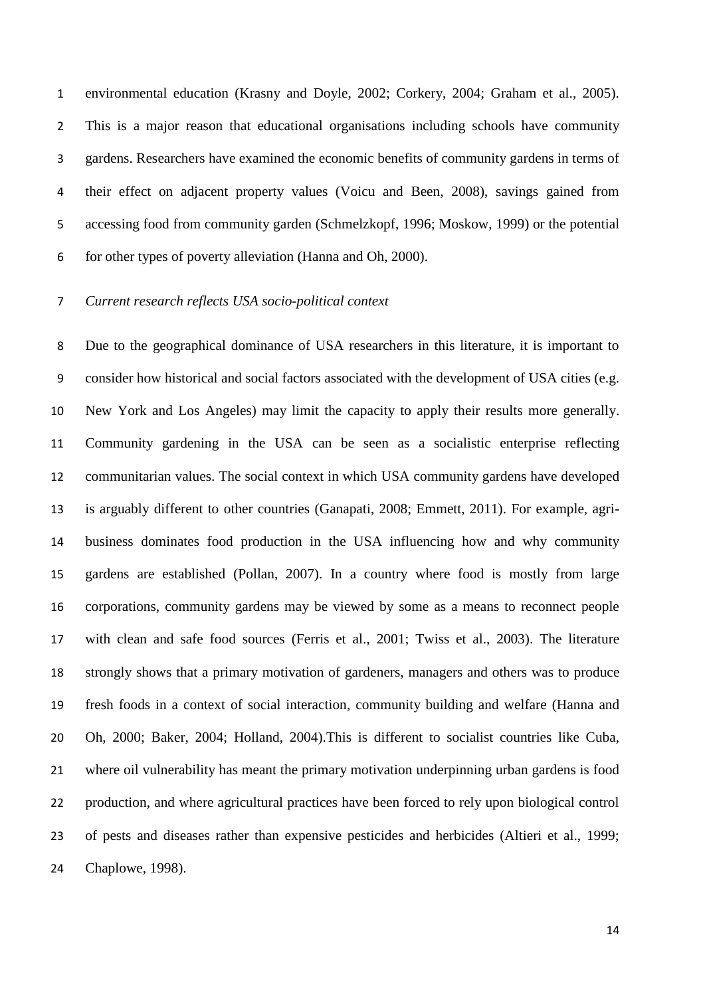environmental education (Krasny and Doyle, 2002; Corkery, 2004; Graham et al., 2005). This is a major reason that educational organisations including schools have community gardens. Researchers have examined the economic benefits of community gardens in terms of their effect on adjacent property values (Voicu and Been, 2008), savings gained from accessing food from community garden (Schmelzkopf, 1996; Moskow, 1999) or the potential for other types of poverty alleviation (Hanna and Oh, 2000).

# *Current research reflects USA socio-political context*

 Due to the geographical dominance of USA researchers in this literature, it is important to consider how historical and social factors associated with the development of USA cities (e.g. New York and Los Angeles) may limit the capacity to apply their results more generally. Community gardening in the USA can be seen as a socialistic enterprise reflecting communitarian values. The social context in which USA community gardens have developed is arguably different to other countries (Ganapati, 2008; Emmett, 2011). For example, agri- business dominates food production in the USA influencing how and why community gardens are established (Pollan, 2007). In a country where food is mostly from large corporations, community gardens may be viewed by some as a means to reconnect people with clean and safe food sources (Ferris et al., 2001; Twiss et al., 2003). The literature strongly shows that a primary motivation of gardeners, managers and others was to produce fresh foods in a context of social interaction, community building and welfare (Hanna and Oh, 2000; Baker, 2004; Holland, 2004).This is different to socialist countries like Cuba, where oil vulnerability has meant the primary motivation underpinning urban gardens is food production, and where agricultural practices have been forced to rely upon biological control of pests and diseases rather than expensive pesticides and herbicides (Altieri et al., 1999; Chaplowe, 1998).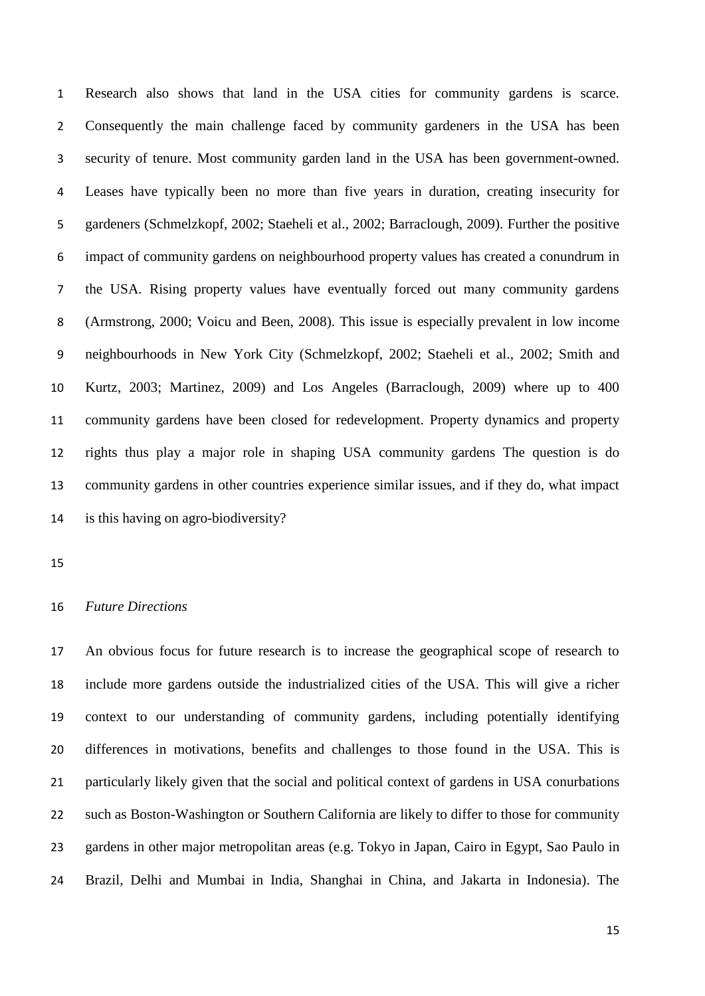Research also shows that land in the USA cities for community gardens is scarce. 2 Consequently the main challenge faced by community gardeners in the USA has been security of tenure. Most community garden land in the USA has been government-owned. Leases have typically been no more than five years in duration, creating insecurity for gardeners (Schmelzkopf, 2002; Staeheli et al., 2002; Barraclough, 2009). Further the positive impact of community gardens on neighbourhood property values has created a conundrum in the USA. Rising property values have eventually forced out many community gardens (Armstrong, 2000; Voicu and Been, 2008). This issue is especially prevalent in low income neighbourhoods in New York City (Schmelzkopf, 2002; Staeheli et al., 2002; Smith and Kurtz, 2003; Martinez, 2009) and Los Angeles (Barraclough, 2009) where up to 400 community gardens have been closed for redevelopment. Property dynamics and property rights thus play a major role in shaping USA community gardens The question is do community gardens in other countries experience similar issues, and if they do, what impact is this having on agro-biodiversity?

## *Future Directions*

 An obvious focus for future research is to increase the geographical scope of research to include more gardens outside the industrialized cities of the USA. This will give a richer context to our understanding of community gardens, including potentially identifying differences in motivations, benefits and challenges to those found in the USA. This is particularly likely given that the social and political context of gardens in USA conurbations such as Boston-Washington or Southern California are likely to differ to those for community gardens in other major metropolitan areas (e.g. Tokyo in Japan, Cairo in Egypt, Sao Paulo in Brazil, Delhi and Mumbai in India, Shanghai in China, and Jakarta in Indonesia). The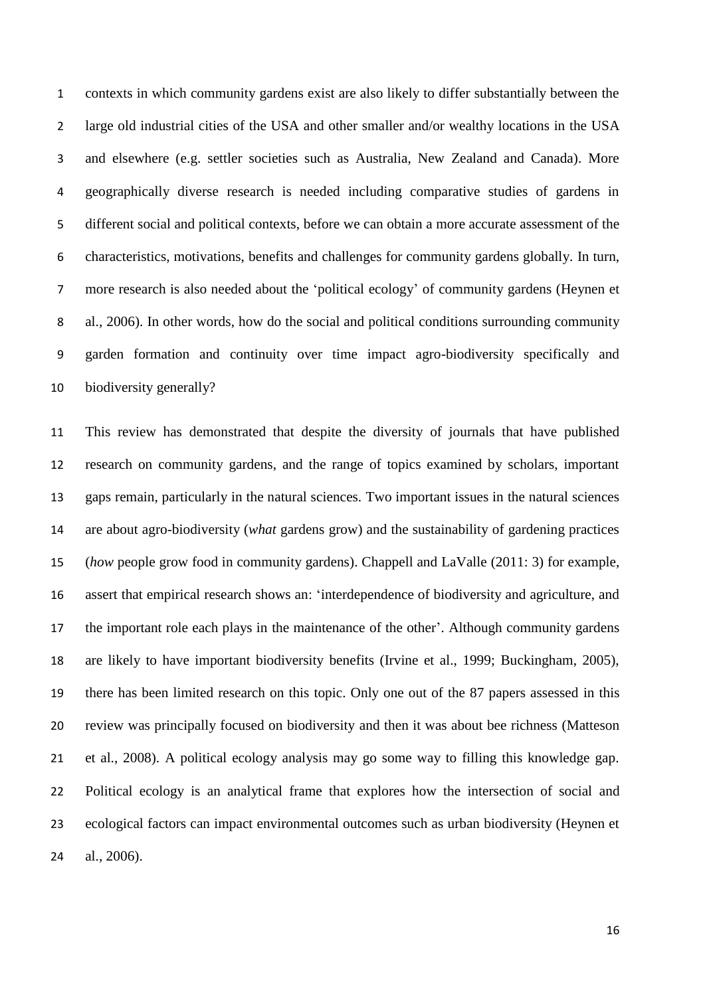contexts in which community gardens exist are also likely to differ substantially between the large old industrial cities of the USA and other smaller and/or wealthy locations in the USA and elsewhere (e.g. settler societies such as Australia, New Zealand and Canada). More geographically diverse research is needed including comparative studies of gardens in different social and political contexts, before we can obtain a more accurate assessment of the characteristics, motivations, benefits and challenges for community gardens globally. In turn, more research is also needed about the 'political ecology' of community gardens (Heynen et al., 2006). In other words, how do the social and political conditions surrounding community garden formation and continuity over time impact agro-biodiversity specifically and biodiversity generally?

 This review has demonstrated that despite the diversity of journals that have published research on community gardens, and the range of topics examined by scholars, important gaps remain, particularly in the natural sciences. Two important issues in the natural sciences are about agro-biodiversity (*what* gardens grow) and the sustainability of gardening practices (*how* people grow food in community gardens). Chappell and LaValle (2011: 3) for example, assert that empirical research shows an: 'interdependence of biodiversity and agriculture, and the important role each plays in the maintenance of the other'. Although community gardens are likely to have important biodiversity benefits (Irvine et al., 1999; Buckingham, 2005), there has been limited research on this topic. Only one out of the 87 papers assessed in this review was principally focused on biodiversity and then it was about bee richness (Matteson et al., 2008). A political ecology analysis may go some way to filling this knowledge gap. Political ecology is an analytical frame that explores how the intersection of social and ecological factors can impact environmental outcomes such as urban biodiversity (Heynen et al., 2006).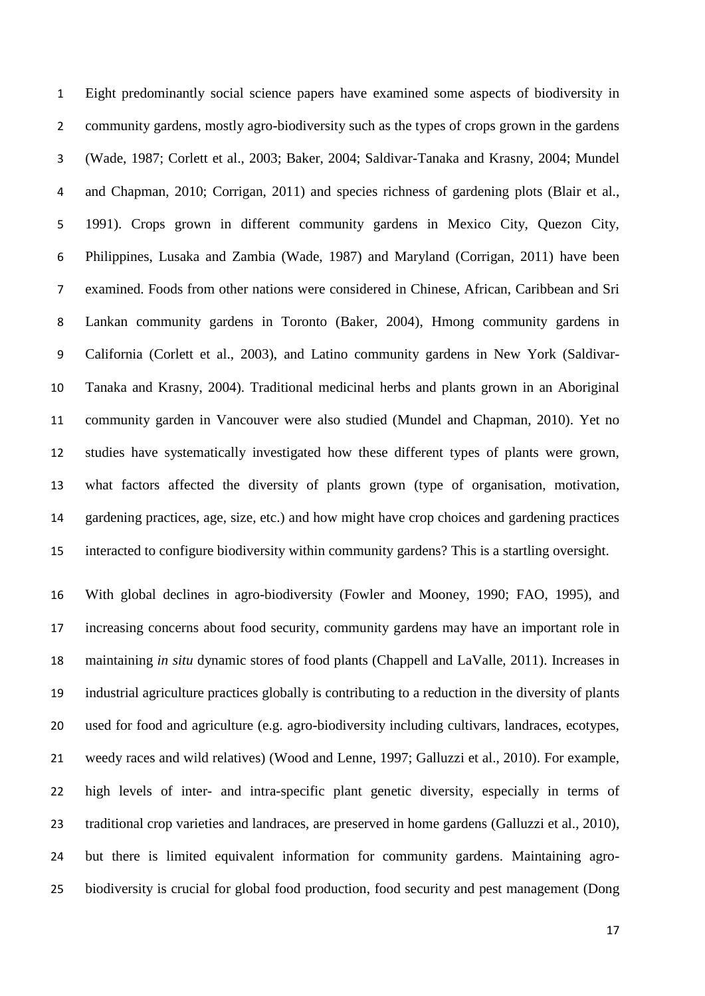Eight predominantly social science papers have examined some aspects of biodiversity in community gardens, mostly agro-biodiversity such as the types of crops grown in the gardens (Wade, 1987; Corlett et al., 2003; Baker, 2004; Saldivar-Tanaka and Krasny, 2004; Mundel and Chapman, 2010; Corrigan, 2011) and species richness of gardening plots (Blair et al., 1991). Crops grown in different community gardens in Mexico City, Quezon City, Philippines, Lusaka and Zambia (Wade, 1987) and Maryland (Corrigan, 2011) have been examined. Foods from other nations were considered in Chinese, African, Caribbean and Sri Lankan community gardens in Toronto (Baker, 2004), Hmong community gardens in California (Corlett et al., 2003), and Latino community gardens in New York (Saldivar- Tanaka and Krasny, 2004). Traditional medicinal herbs and plants grown in an Aboriginal community garden in Vancouver were also studied (Mundel and Chapman, 2010). Yet no studies have systematically investigated how these different types of plants were grown, what factors affected the diversity of plants grown (type of organisation, motivation, gardening practices, age, size, etc.) and how might have crop choices and gardening practices interacted to configure biodiversity within community gardens? This is a startling oversight.

 With global declines in agro-biodiversity (Fowler and Mooney, 1990; FAO, 1995), and increasing concerns about food security, community gardens may have an important role in maintaining *in situ* dynamic stores of food plants (Chappell and LaValle, 2011). Increases in industrial agriculture practices globally is contributing to a reduction in the diversity of plants used for food and agriculture (e.g. agro-biodiversity including cultivars, landraces, ecotypes, weedy races and wild relatives) (Wood and Lenne, 1997; Galluzzi et al., 2010). For example, high levels of inter- and intra-specific plant genetic diversity, especially in terms of traditional crop varieties and landraces, are preserved in home gardens (Galluzzi et al., 2010), but there is limited equivalent information for community gardens. Maintaining agro-biodiversity is crucial for global food production, food security and pest management (Dong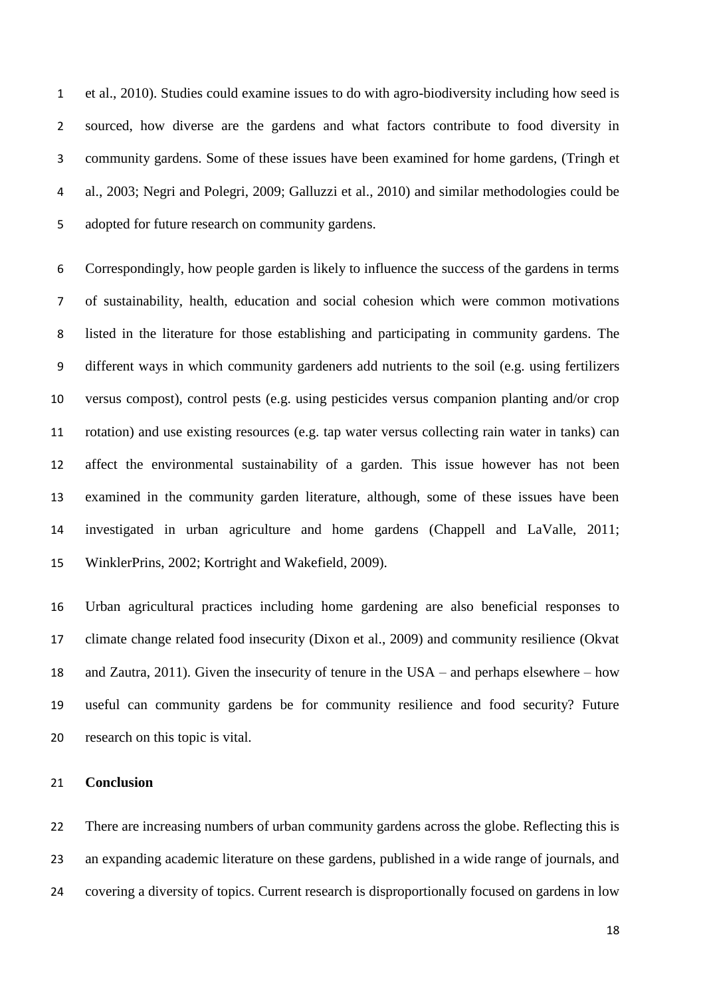et al., 2010). Studies could examine issues to do with agro-biodiversity including how seed is sourced, how diverse are the gardens and what factors contribute to food diversity in community gardens. Some of these issues have been examined for home gardens, (Tringh et al., 2003; Negri and Polegri, 2009; Galluzzi et al., 2010) and similar methodologies could be adopted for future research on community gardens.

 Correspondingly, how people garden is likely to influence the success of the gardens in terms of sustainability, health, education and social cohesion which were common motivations listed in the literature for those establishing and participating in community gardens. The different ways in which community gardeners add nutrients to the soil (e.g. using fertilizers versus compost), control pests (e.g. using pesticides versus companion planting and/or crop rotation) and use existing resources (e.g. tap water versus collecting rain water in tanks) can affect the environmental sustainability of a garden. This issue however has not been examined in the community garden literature, although, some of these issues have been investigated in urban agriculture and home gardens (Chappell and LaValle, 2011; WinklerPrins, 2002; Kortright and Wakefield, 2009).

 Urban agricultural practices including home gardening are also beneficial responses to climate change related food insecurity (Dixon et al., 2009) and community resilience (Okvat and Zautra, 2011). Given the insecurity of tenure in the USA – and perhaps elsewhere – how useful can community gardens be for community resilience and food security? Future research on this topic is vital.

#### **Conclusion**

 There are increasing numbers of urban community gardens across the globe. Reflecting this is an expanding academic literature on these gardens, published in a wide range of journals, and covering a diversity of topics. Current research is disproportionally focused on gardens in low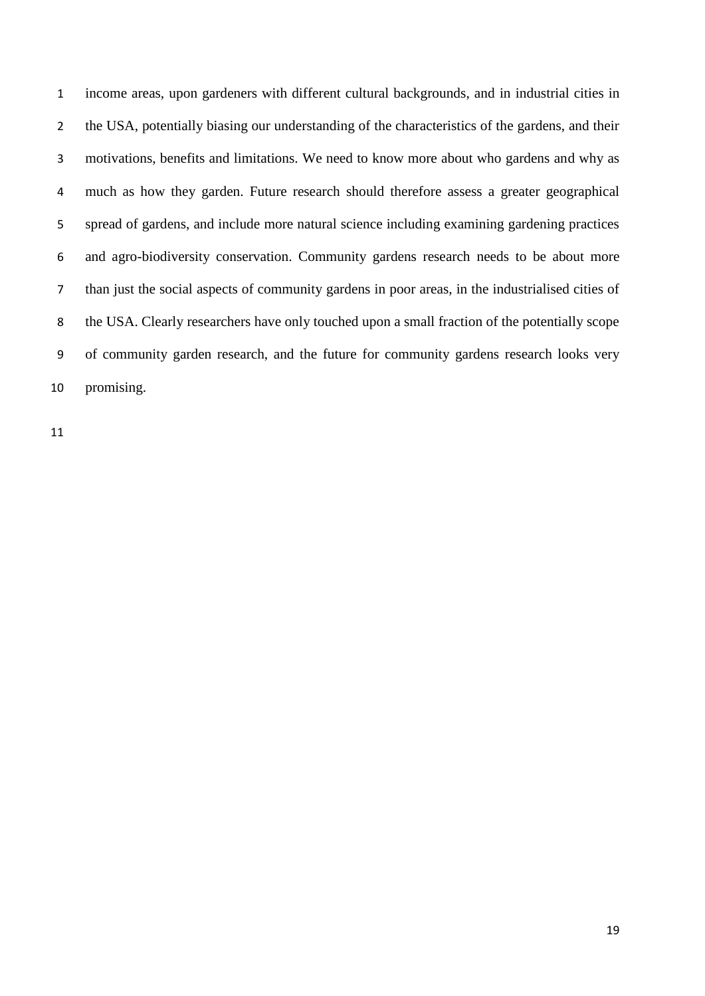income areas, upon gardeners with different cultural backgrounds, and in industrial cities in the USA, potentially biasing our understanding of the characteristics of the gardens, and their motivations, benefits and limitations. We need to know more about who gardens and why as much as how they garden. Future research should therefore assess a greater geographical spread of gardens, and include more natural science including examining gardening practices and agro-biodiversity conservation. Community gardens research needs to be about more than just the social aspects of community gardens in poor areas, in the industrialised cities of the USA. Clearly researchers have only touched upon a small fraction of the potentially scope of community garden research, and the future for community gardens research looks very promising.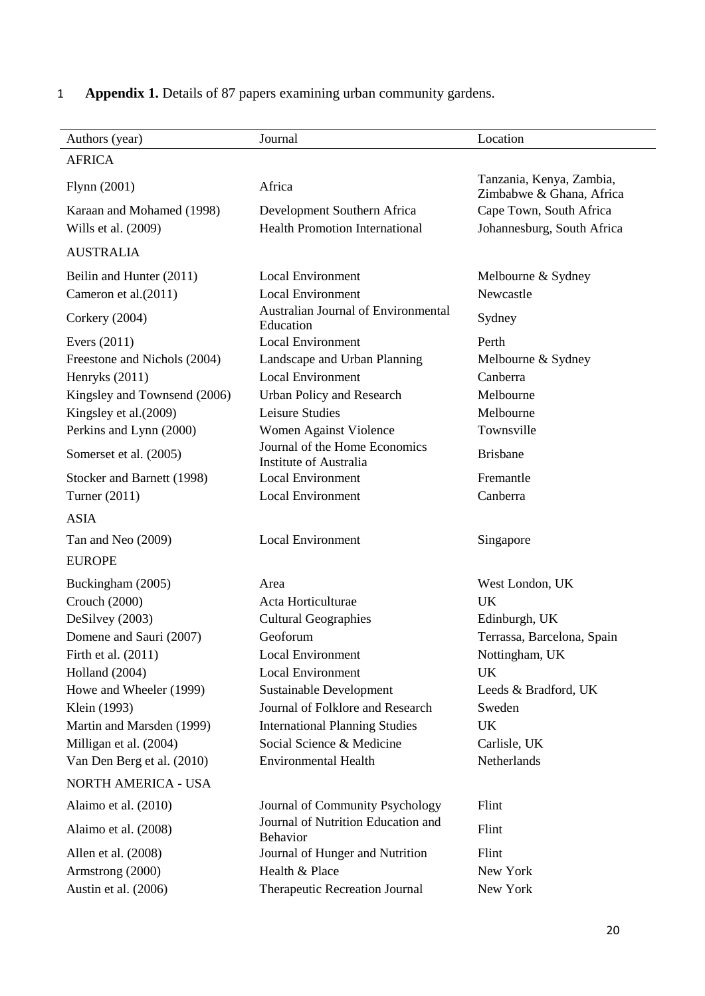| Authors (year)               | Journal                                                        | Location                                             |
|------------------------------|----------------------------------------------------------------|------------------------------------------------------|
| <b>AFRICA</b>                |                                                                |                                                      |
| Flynn (2001)                 | Africa                                                         | Tanzania, Kenya, Zambia,<br>Zimbabwe & Ghana, Africa |
| Karaan and Mohamed (1998)    | Development Southern Africa                                    | Cape Town, South Africa                              |
| Wills et al. (2009)          | <b>Health Promotion International</b>                          | Johannesburg, South Africa                           |
| <b>AUSTRALIA</b>             |                                                                |                                                      |
| Beilin and Hunter (2011)     | <b>Local Environment</b>                                       | Melbourne & Sydney                                   |
| Cameron et al.(2011)         | <b>Local Environment</b>                                       | Newcastle                                            |
| Corkery (2004)               | Australian Journal of Environmental<br>Education               | Sydney                                               |
| Evers $(2011)$               | <b>Local Environment</b>                                       | Perth                                                |
| Freestone and Nichols (2004) | Landscape and Urban Planning                                   | Melbourne & Sydney                                   |
| Henryks (2011)               | <b>Local Environment</b>                                       | Canberra                                             |
| Kingsley and Townsend (2006) | Urban Policy and Research                                      | Melbourne                                            |
| Kingsley et al.(2009)        | Leisure Studies                                                | Melbourne                                            |
| Perkins and Lynn (2000)      | Women Against Violence                                         | Townsville                                           |
| Somerset et al. (2005)       | Journal of the Home Economics<br><b>Institute of Australia</b> | <b>Brisbane</b>                                      |
| Stocker and Barnett (1998)   | <b>Local Environment</b>                                       | Fremantle                                            |
| Turner (2011)                | <b>Local Environment</b>                                       | Canberra                                             |
| <b>ASIA</b>                  |                                                                |                                                      |
| Tan and Neo (2009)           | <b>Local Environment</b>                                       | Singapore                                            |
| <b>EUROPE</b>                |                                                                |                                                      |
| Buckingham (2005)            | Area                                                           | West London, UK                                      |
| Crouch (2000)                | Acta Horticulturae                                             | <b>UK</b>                                            |
| DeSilvey (2003)              | <b>Cultural Geographies</b>                                    | Edinburgh, UK                                        |
| Domene and Sauri (2007)      | Geoforum                                                       | Terrassa, Barcelona, Spain                           |
| Firth et al. (2011)          | <b>Local Environment</b>                                       | Nottingham, UK                                       |
| Holland (2004)               | <b>Local Environment</b>                                       | UK                                                   |
| Howe and Wheeler (1999)      | Sustainable Development                                        | Leeds & Bradford, UK                                 |
| Klein (1993)                 | Journal of Folklore and Research                               | Sweden                                               |
| Martin and Marsden (1999)    | <b>International Planning Studies</b>                          | UK                                                   |
| Milligan et al. (2004)       | Social Science & Medicine                                      | Carlisle, UK                                         |
| Van Den Berg et al. (2010)   | <b>Environmental Health</b>                                    | Netherlands                                          |
| NORTH AMERICA - USA          |                                                                |                                                      |
| Alaimo et al. (2010)         | Journal of Community Psychology                                | Flint                                                |
| Alaimo et al. (2008)         | Journal of Nutrition Education and<br><b>Behavior</b>          | Flint                                                |
| Allen et al. (2008)          | Journal of Hunger and Nutrition                                | Flint                                                |
| Armstrong (2000)             | Health & Place                                                 | New York                                             |
| Austin et al. (2006)         | Therapeutic Recreation Journal                                 | New York                                             |
|                              |                                                                |                                                      |

# 1 **Appendix 1.** Details of 87 papers examining urban community gardens.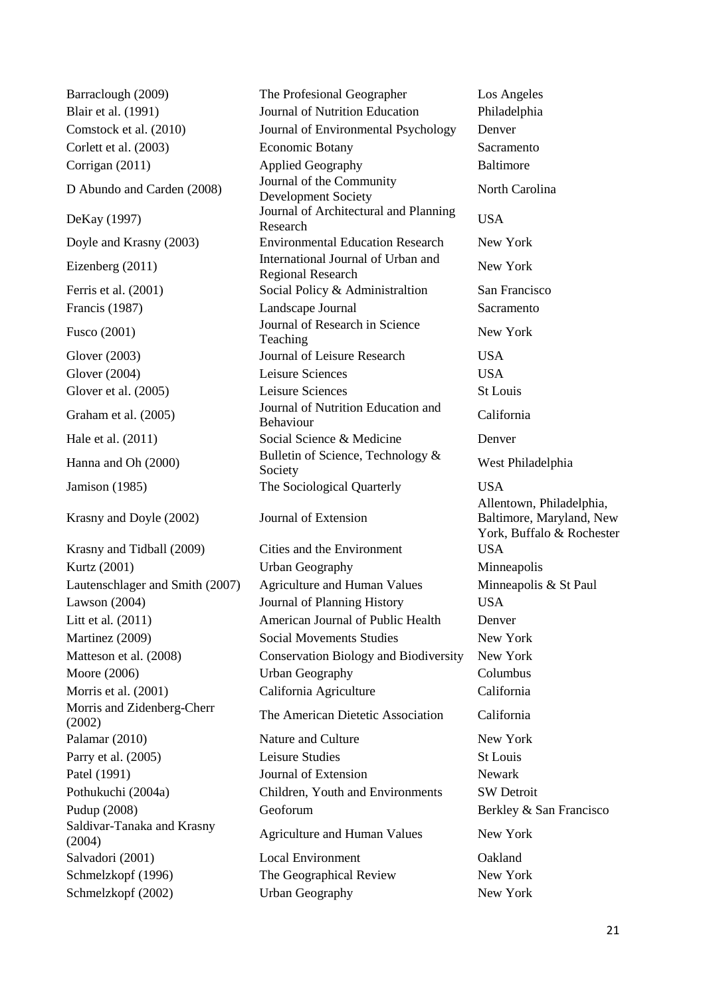D Abundo and Carden (2008) Journal of the Community Krasny and Doyle (2002) Journal of Extension Morris and Zidenberg-Cherr Saldivar-Tanaka and Krasny

Barraclough (2009) The Profesional Geographer Los Angeles Blair et al. (1991) Journal of Nutrition Education Philadelphia Comstock et al. (2010) Journal of Environmental Psychology Denver Corlett et al. (2003) Economic Botany Sacramento Corrigan (2011) Applied Geography Baltimore Development Society<br>Development Society DeKay (1997) Journal of Architectural and Planning Research USA Doyle and Krasny (2003) Environmental Education Research New York Eizenberg (2011) International Journal of Urban and mernational Journal of Urban and New York<br>Regional Research Ferris et al. (2001) Social Policy & Administraltion San Francisco Francis (1987) Landscape Journal Sacramento Fusco (2001) Journal of Research in Science<br>
Teaching New York Glover (2003) Journal of Leisure Research USA Glover (2004) Leisure Sciences USA Glover et al. (2005) Leisure Sciences St Louis Graham et al. (2005) Journal of Nutrition Education and California<br>
Behaviour Hale et al. (2011) Social Science & Medicine Denver Hanna and Oh (2000) Bulletin of Science, Technology & Society Jamison (1985) The Sociological Quarterly USA Krasny and Tidball (2009) Cities and the Environment USA Kurtz (2001) **Urban Geography Minneapolis** Minneapolis Lautenschlager and Smith (2007) Agriculture and Human Values Minneapolis & St Paul Lawson (2004) Journal of Planning History USA Litt et al*.* (2011) American Journal of Public Health Denver Martinez (2009) Social Movements Studies New York Matteson et al. (2008) Conservation Biology and Biodiversity New York Moore (2006) Urban Geography Columbus Morris et al. (2001) California Agriculture California morths and Zidenberg-Chern<br>
The American Dietetic Association California Palamar (2010) Nature and Culture New York Parry et al. (2005) Leisure Studies St Louis Patel (1991) **Solution** Journal of Extension Newark Pothukuchi (2004a) Children, Youth and Environments SW Detroit Pudup (2008) Geoforum Geoforum Berkley & San Francisco Salutval - Fanaka and Krashy<br>
(2004) Agriculture and Human Values New York Salvadori (2001) Local Environment Oakland Schmelzkopf (1996) The Geographical Review New York Schmelzkopf (2002) Urban Geography New York

West Philadelphia Allentown, Philadelphia, Baltimore, Maryland, New York, Buffalo & Rochester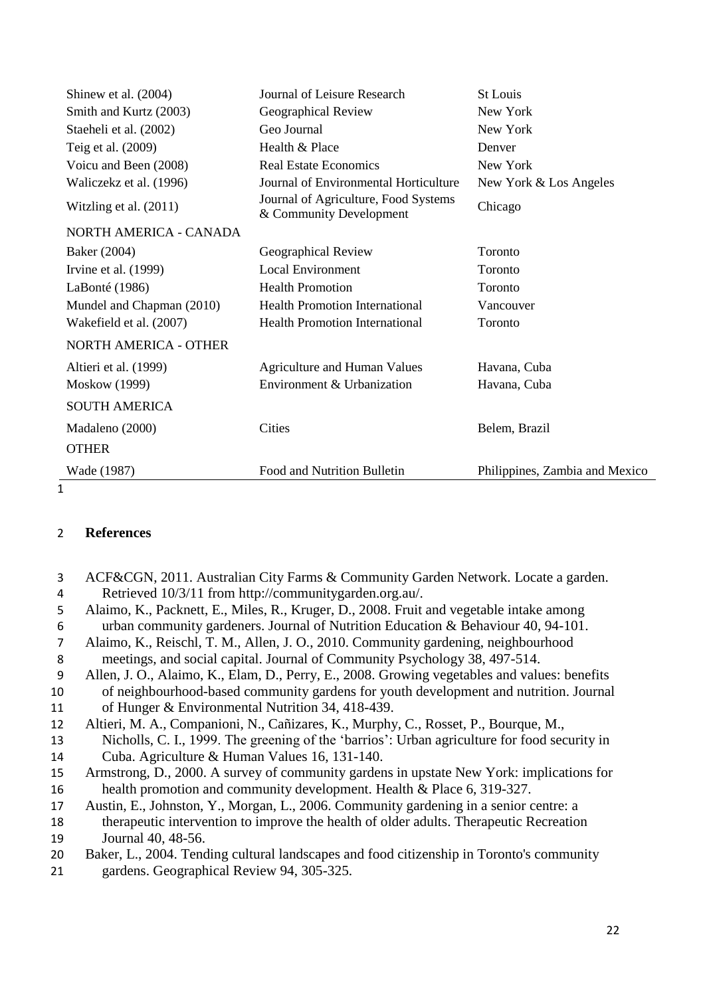| Shinew et al. (2004)         | Journal of Leisure Research                                     | <b>St Louis</b>                |
|------------------------------|-----------------------------------------------------------------|--------------------------------|
| Smith and Kurtz (2003)       | Geographical Review                                             | New York                       |
| Staeheli et al. (2002)       | Geo Journal                                                     | New York                       |
| Teig et al. (2009)           | Health & Place                                                  | Denver                         |
| Voicu and Been (2008)        | <b>Real Estate Economics</b>                                    | New York                       |
| Waliczekz et al. (1996)      | Journal of Environmental Horticulture                           | New York & Los Angeles         |
| Witzling et al. (2011)       | Journal of Agriculture, Food Systems<br>& Community Development | Chicago                        |
| NORTH AMERICA - CANADA       |                                                                 |                                |
| Baker (2004)                 | Geographical Review                                             | Toronto                        |
| Irvine et al. $(1999)$       | <b>Local Environment</b>                                        | Toronto                        |
| LaBonté (1986)               | <b>Health Promotion</b>                                         | Toronto                        |
| Mundel and Chapman (2010)    | <b>Health Promotion International</b>                           | Vancouver                      |
| Wakefield et al. (2007)      | <b>Health Promotion International</b>                           | Toronto                        |
| <b>NORTH AMERICA - OTHER</b> |                                                                 |                                |
| Altieri et al. (1999)        | <b>Agriculture and Human Values</b>                             | Havana, Cuba                   |
| <b>Moskow</b> (1999)         | Environment & Urbanization                                      | Havana, Cuba                   |
| <b>SOUTH AMERICA</b>         |                                                                 |                                |
| Madaleno (2000)              | Cities                                                          | Belem, Brazil                  |
| <b>OTHER</b>                 |                                                                 |                                |
| Wade (1987)                  | Food and Nutrition Bulletin                                     | Philippines, Zambia and Mexico |

 $\overline{1}$ 

# 2 **References**

 ACF&CGN, 2011. Australian City Farms & Community Garden Network. Locate a garden. Retrieved 10/3/11 from http://communitygarden.org.au/. Alaimo, K., Packnett, E., Miles, R., Kruger, D., 2008. Fruit and vegetable intake among urban community gardeners. Journal of Nutrition Education & Behaviour 40, 94-101. Alaimo, K., Reischl, T. M., Allen, J. O., 2010. Community gardening, neighbourhood meetings, and social capital. Journal of Community Psychology 38, 497-514. Allen, J. O., Alaimo, K., Elam, D., Perry, E., 2008. Growing vegetables and values: benefits of neighbourhood-based community gardens for youth development and nutrition. Journal of Hunger & Environmental Nutrition 34, 418-439. Altieri, M. A., Companioni, N., Cañizares, K., Murphy, C., Rosset, P., Bourque, M., Nicholls, C. I., 1999. The greening of the 'barrios': Urban agriculture for food security in Cuba. Agriculture & Human Values 16, 131-140. Armstrong, D., 2000. A survey of community gardens in upstate New York: implications for 16 health promotion and community development. Health & Place 6, 319-327. Austin, E., Johnston, Y., Morgan, L., 2006. Community gardening in a senior centre: a therapeutic intervention to improve the health of older adults. Therapeutic Recreation Journal 40, 48-56. Baker, L., 2004. Tending cultural landscapes and food citizenship in Toronto's community gardens. Geographical Review 94, 305-325.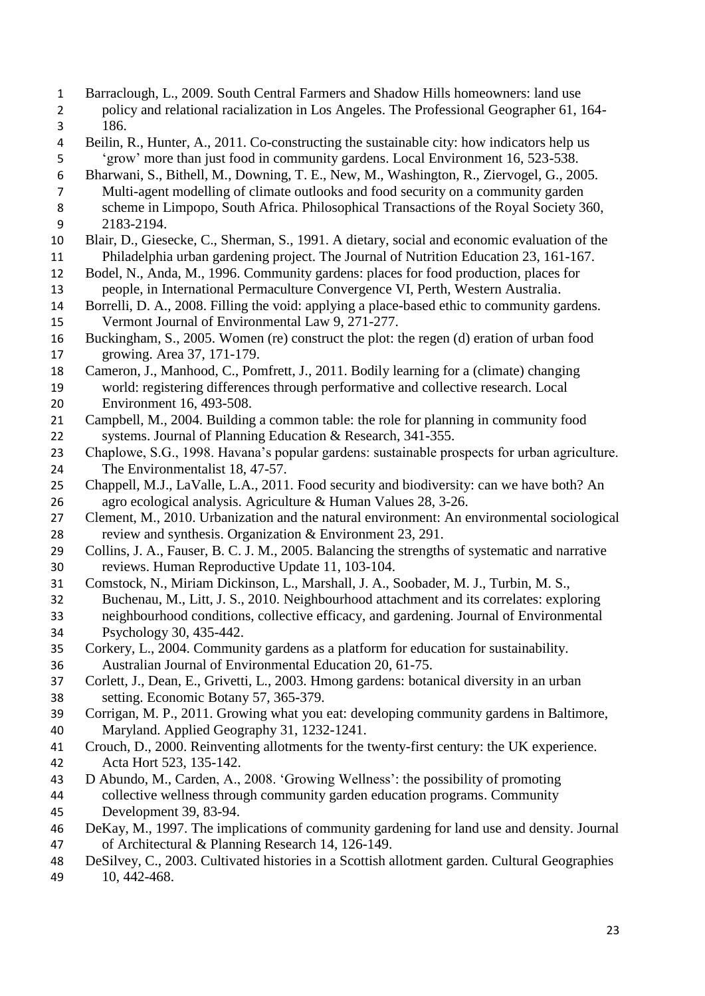- Barraclough, L., 2009. South Central Farmers and Shadow Hills homeowners: land use policy and relational racialization in Los Angeles. The Professional Geographer 61, 164- 186. Beilin, R., Hunter, A., 2011. Co-constructing the sustainable city: how indicators help us 'grow' more than just food in community gardens. Local Environment 16, 523-538. Bharwani, S., Bithell, M., Downing, T. E., New, M., Washington, R., Ziervogel, G., 2005. Multi-agent modelling of climate outlooks and food security on a community garden scheme in Limpopo, South Africa. Philosophical Transactions of the Royal Society 360, 2183-2194. Blair, D., Giesecke, C., Sherman, S., 1991. A dietary, social and economic evaluation of the Philadelphia urban gardening project. The Journal of Nutrition Education 23, 161-167. Bodel, N., Anda, M., 1996. Community gardens: places for food production, places for people, in International Permaculture Convergence VI, Perth, Western Australia. Borrelli, D. A., 2008. Filling the void: applying a place-based ethic to community gardens. Vermont Journal of Environmental Law 9, 271-277. Buckingham, S., 2005. Women (re) construct the plot: the regen (d) eration of urban food growing. Area 37, 171-179. Cameron, J., Manhood, C., Pomfrett, J., 2011. Bodily learning for a (climate) changing world: registering differences through performative and collective research. Local Environment 16, 493-508. Campbell, M., 2004. Building a common table: the role for planning in community food systems. Journal of Planning Education & Research, 341-355. Chaplowe, S.G., 1998. Havana's popular gardens: sustainable prospects for urban agriculture. The Environmentalist 18, 47-57. Chappell, M.J., LaValle, L.A., 2011. Food security and biodiversity: can we have both? An agro ecological analysis. Agriculture & Human Values 28, 3-26. Clement, M., 2010. Urbanization and the natural environment: An environmental sociological review and synthesis. Organization & Environment 23, 291. Collins, J. A., Fauser, B. C. J. M., 2005. Balancing the strengths of systematic and narrative reviews. Human Reproductive Update 11, 103-104. Comstock, N., Miriam Dickinson, L., Marshall, J. A., Soobader, M. J., Turbin, M. S., Buchenau, M., Litt, J. S., 2010. Neighbourhood attachment and its correlates: exploring neighbourhood conditions, collective efficacy, and gardening. Journal of Environmental Psychology 30, 435-442. Corkery, L., 2004. Community gardens as a platform for education for sustainability. Australian Journal of Environmental Education 20, 61-75. Corlett, J., Dean, E., Grivetti, L., 2003. Hmong gardens: botanical diversity in an urban setting. Economic Botany 57, 365-379. Corrigan, M. P., 2011. Growing what you eat: developing community gardens in Baltimore, Maryland. Applied Geography 31, 1232-1241. Crouch, D., 2000. Reinventing allotments for the twenty-first century: the UK experience. Acta Hort 523, 135-142. D Abundo, M., Carden, A., 2008. 'Growing Wellness': the possibility of promoting collective wellness through community garden education programs. Community Development 39, 83-94. DeKay, M., 1997. The implications of community gardening for land use and density. Journal of Architectural & Planning Research 14, 126-149. DeSilvey, C., 2003. Cultivated histories in a Scottish allotment garden. Cultural Geographies
- 10, 442-468.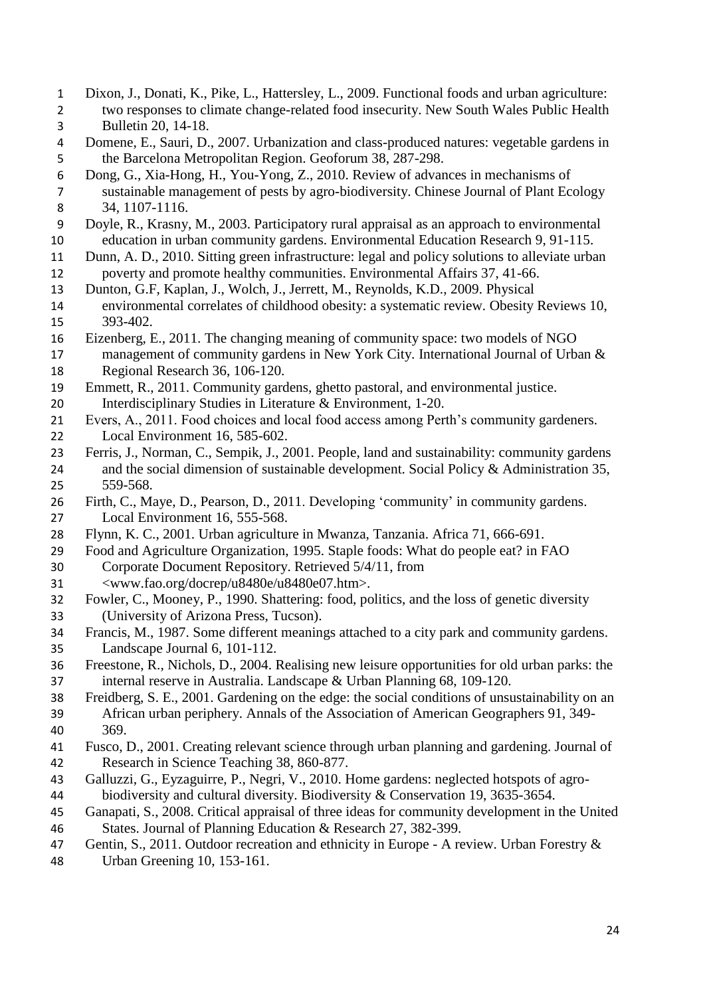- Dixon, J., Donati, K., Pike, L., Hattersley, L., 2009. Functional foods and urban agriculture: two responses to climate change-related food insecurity. New South Wales Public Health Bulletin 20, 14-18.
- Domene, E., Sauri, D., 2007. Urbanization and class-produced natures: vegetable gardens in the Barcelona Metropolitan Region. Geoforum 38, 287-298.
- Dong, G., Xia-Hong, H., You-Yong, Z., 2010. Review of advances in mechanisms of sustainable management of pests by agro-biodiversity. Chinese Journal of Plant Ecology 34, 1107-1116.
- Doyle, R., Krasny, M., 2003. Participatory rural appraisal as an approach to environmental education in urban community gardens. Environmental Education Research 9, 91-115.
- Dunn, A. D., 2010. Sitting green infrastructure: legal and policy solutions to alleviate urban poverty and promote healthy communities. Environmental Affairs 37, 41-66.
- Dunton, G.F, Kaplan, J., Wolch, J., Jerrett, M., Reynolds, K.D., 2009. Physical
- environmental correlates of childhood obesity: a systematic review. Obesity Reviews 10, 393-402.
- Eizenberg, E., 2011. The changing meaning of community space: two models of NGO management of community gardens in New York City. International Journal of Urban & Regional Research 36, 106-120.
- Emmett, R., 2011. Community gardens, ghetto pastoral, and environmental justice. Interdisciplinary Studies in Literature & Environment, 1-20.
- Evers, A., 2011. Food choices and local food access among Perth's community gardeners. Local Environment 16, 585-602.
- 
- Ferris, J., Norman, C., Sempik, J., 2001. People, land and sustainability: community gardens 24 and the social dimension of sustainable development. Social Policy & Administration 35, 559-568.
- Firth, C., Maye, D., Pearson, D., 2011. Developing 'community' in community gardens. Local Environment 16, 555-568.
- Flynn, K. C., 2001. Urban agriculture in Mwanza, Tanzania. Africa 71, 666-691.
- Food and Agriculture Organization, 1995. Staple foods: What do people eat? in FAO Corporate Document Repository. Retrieved 5/4/11, from
- <www.fao.org/docrep/u8480e/u8480e07.htm>.
- Fowler, C., Mooney, P., 1990. Shattering: food, politics, and the loss of genetic diversity (University of Arizona Press, Tucson).
- Francis, M., 1987. Some different meanings attached to a city park and community gardens. Landscape Journal 6, 101-112.
- Freestone, R., Nichols, D., 2004. Realising new leisure opportunities for old urban parks: the internal reserve in Australia. Landscape & Urban Planning 68, 109-120.
- Freidberg, S. E., 2001. Gardening on the edge: the social conditions of unsustainability on an African urban periphery. Annals of the Association of American Geographers 91, 349- 369.
- Fusco, D., 2001. Creating relevant science through urban planning and gardening. Journal of Research in Science Teaching 38, 860-877.
- Galluzzi, G., Eyzaguirre, P., Negri, V., 2010. Home gardens: neglected hotspots of agro-biodiversity and cultural diversity. Biodiversity & Conservation 19, 3635-3654.
- Ganapati, S., 2008. Critical appraisal of three ideas for community development in the United
- States. Journal of Planning Education & Research 27, 382-399.
- 47 Gentin, S., 2011. Outdoor recreation and ethnicity in Europe A review. Urban Forestry &
- Urban Greening 10, 153-161.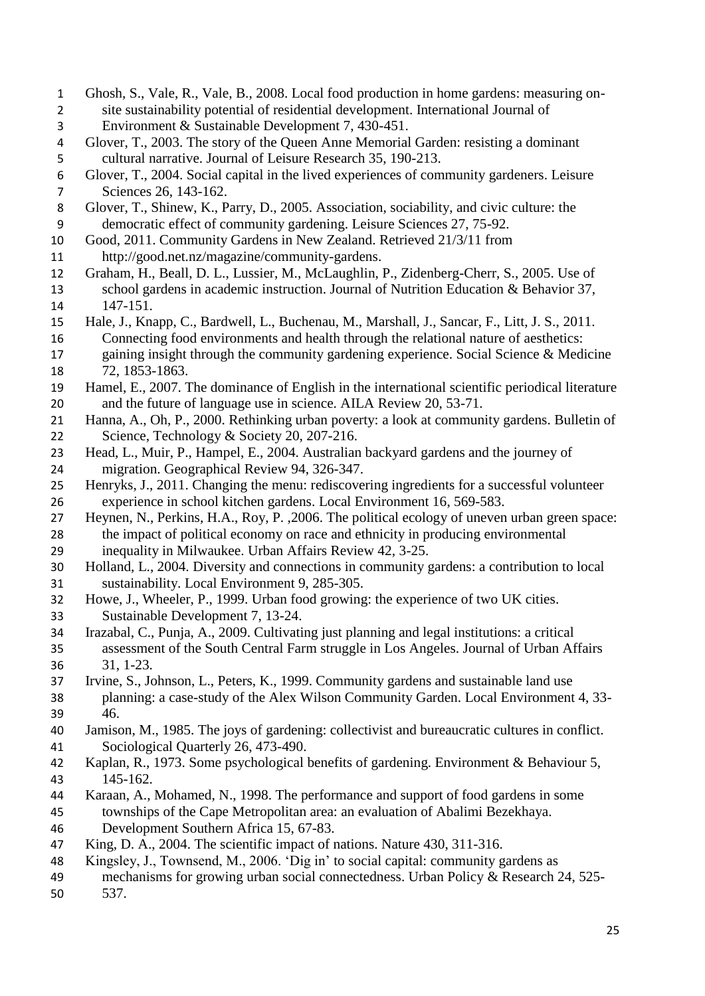- Ghosh, S., Vale, R., Vale, B., 2008. Local food production in home gardens: measuring on- site sustainability potential of residential development. International Journal of Environment & Sustainable Development 7, 430-451.
- Glover, T., 2003. The story of the Queen Anne Memorial Garden: resisting a dominant cultural narrative. Journal of Leisure Research 35, 190-213.
- Glover, T., 2004. Social capital in the lived experiences of community gardeners. Leisure Sciences 26, 143-162.
- Glover, T., Shinew, K., Parry, D., 2005. Association, sociability, and civic culture: the democratic effect of community gardening. Leisure Sciences 27, 75-92.
- Good, 2011. Community Gardens in New Zealand. Retrieved 21/3/11 from
- http://good.net.nz/magazine/community-gardens.
- Graham, H., Beall, D. L., Lussier, M., McLaughlin, P., Zidenberg-Cherr, S., 2005. Use of school gardens in academic instruction. Journal of Nutrition Education & Behavior 37, 147-151.
- Hale, J., Knapp, C., Bardwell, L., Buchenau, M., Marshall, J., Sancar, F., Litt, J. S., 2011. Connecting food environments and health through the relational nature of aesthetics:
- gaining insight through the community gardening experience. Social Science & Medicine 72, 1853-1863.
- Hamel, E., 2007. The dominance of English in the international scientific periodical literature 20 and the future of language use in science. AILA Review 20, 53-71.
- Hanna, A., Oh, P., 2000. Rethinking urban poverty: a look at community gardens. Bulletin of 22 Science, Technology & Society 20, 207-216.
- Head, L., Muir, P., Hampel, E., 2004. Australian backyard gardens and the journey of migration. Geographical Review 94, 326-347.
- Henryks, J., 2011. Changing the menu: rediscovering ingredients for a successful volunteer experience in school kitchen gardens. Local Environment 16, 569-583.
- Heynen, N., Perkins, H.A., Roy, P. ,2006. The political ecology of uneven urban green space: the impact of political economy on race and ethnicity in producing environmental
- inequality in Milwaukee. Urban Affairs Review 42, 3-25.
- Holland, L., 2004. Diversity and connections in community gardens: a contribution to local sustainability. Local Environment 9, 285-305.
- Howe, J., Wheeler, P., 1999. Urban food growing: the experience of two UK cities. Sustainable Development 7, 13-24.
- Irazabal, C., Punja, A., 2009. Cultivating just planning and legal institutions: a critical assessment of the South Central Farm struggle in Los Angeles. Journal of Urban Affairs 31, 1-23.
- Irvine, S., Johnson, L., Peters, K., 1999. Community gardens and sustainable land use planning: a case-study of the Alex Wilson Community Garden. Local Environment 4, 33- 46.
- Jamison, M., 1985. The joys of gardening: collectivist and bureaucratic cultures in conflict. Sociological Quarterly 26, 473-490.
- Kaplan, R., 1973. Some psychological benefits of gardening. Environment & Behaviour 5, 145-162.
- Karaan, A., Mohamed, N., 1998. The performance and support of food gardens in some townships of the Cape Metropolitan area: an evaluation of Abalimi Bezekhaya. Development Southern Africa 15, 67-83.
- King, D. A., 2004. The scientific impact of nations. Nature 430, 311-316.
- Kingsley, J., Townsend, M., 2006. 'Dig in' to social capital: community gardens as
- mechanisms for growing urban social connectedness. Urban Policy & Research 24, 525- 537.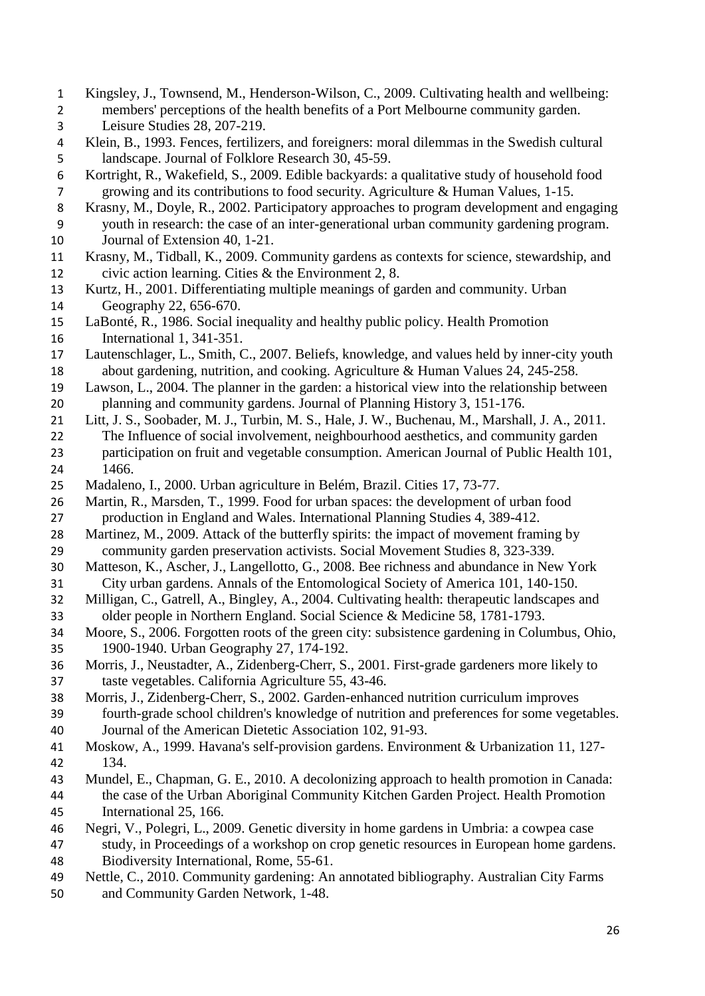- Kingsley, J., Townsend, M., Henderson-Wilson, C., 2009. Cultivating health and wellbeing: members' perceptions of the health benefits of a Port Melbourne community garden. Leisure Studies 28, 207-219.
- Klein, B., 1993. Fences, fertilizers, and foreigners: moral dilemmas in the Swedish cultural landscape. Journal of Folklore Research 30, 45-59.

 Kortright, R., Wakefield, S., 2009. Edible backyards: a qualitative study of household food growing and its contributions to food security. Agriculture & Human Values, 1-15.

- Krasny, M., Doyle, R., 2002. Participatory approaches to program development and engaging
- youth in research: the case of an inter-generational urban community gardening program. Journal of Extension 40, 1-21.
- Krasny, M., Tidball, K., 2009. Community gardens as contexts for science, stewardship, and civic action learning. Cities & the Environment 2, 8.
- Kurtz, H., 2001. Differentiating multiple meanings of garden and community. Urban Geography 22, 656-670.
- LaBonté, R., 1986. Social inequality and healthy public policy. Health Promotion International 1, 341-351.
- Lautenschlager, L., Smith, C., 2007. Beliefs, knowledge, and values held by inner-city youth about gardening, nutrition, and cooking. Agriculture & Human Values 24, 245-258.
- Lawson, L., 2004. The planner in the garden: a historical view into the relationship between planning and community gardens. Journal of Planning History 3, 151-176.
- Litt, J. S., Soobader, M. J., Turbin, M. S., Hale, J. W., Buchenau, M., Marshall, J. A., 2011. The Influence of social involvement, neighbourhood aesthetics, and community garden participation on fruit and vegetable consumption. American Journal of Public Health 101, 1466.
- Madaleno, I., 2000. Urban agriculture in Belém, Brazil. Cities 17, 73-77.
- Martin, R., Marsden, T., 1999. Food for urban spaces: the development of urban food production in England and Wales. International Planning Studies 4, 389-412.
- Martinez, M., 2009. Attack of the butterfly spirits: the impact of movement framing by community garden preservation activists. Social Movement Studies 8, 323-339.
- Matteson, K., Ascher, J., Langellotto, G., 2008. Bee richness and abundance in New York
- City urban gardens. Annals of the Entomological Society of America 101, 140-150.
- Milligan, C., Gatrell, A., Bingley, A., 2004. Cultivating health: therapeutic landscapes and older people in Northern England. Social Science & Medicine 58, 1781-1793.
- Moore, S., 2006. Forgotten roots of the green city: subsistence gardening in Columbus, Ohio, 1900-1940. Urban Geography 27, 174-192.
- Morris, J., Neustadter, A., Zidenberg-Cherr, S., 2001. First-grade gardeners more likely to taste vegetables. California Agriculture 55, 43-46.
- Morris, J., Zidenberg-Cherr, S., 2002. Garden-enhanced nutrition curriculum improves fourth-grade school children's knowledge of nutrition and preferences for some vegetables. Journal of the American Dietetic Association 102, 91-93.
- Moskow, A., 1999. Havana's self-provision gardens. Environment & Urbanization 11, 127- 134.
- Mundel, E., Chapman, G. E., 2010. A decolonizing approach to health promotion in Canada: the case of the Urban Aboriginal Community Kitchen Garden Project. Health Promotion International 25, 166.
- Negri, V., Polegri, L., 2009. Genetic diversity in home gardens in Umbria: a cowpea case
- study, in Proceedings of a workshop on crop genetic resources in European home gardens. Biodiversity International, Rome, 55-61.
- Nettle, C., 2010. Community gardening: An annotated bibliography. Australian City Farms and Community Garden Network, 1-48.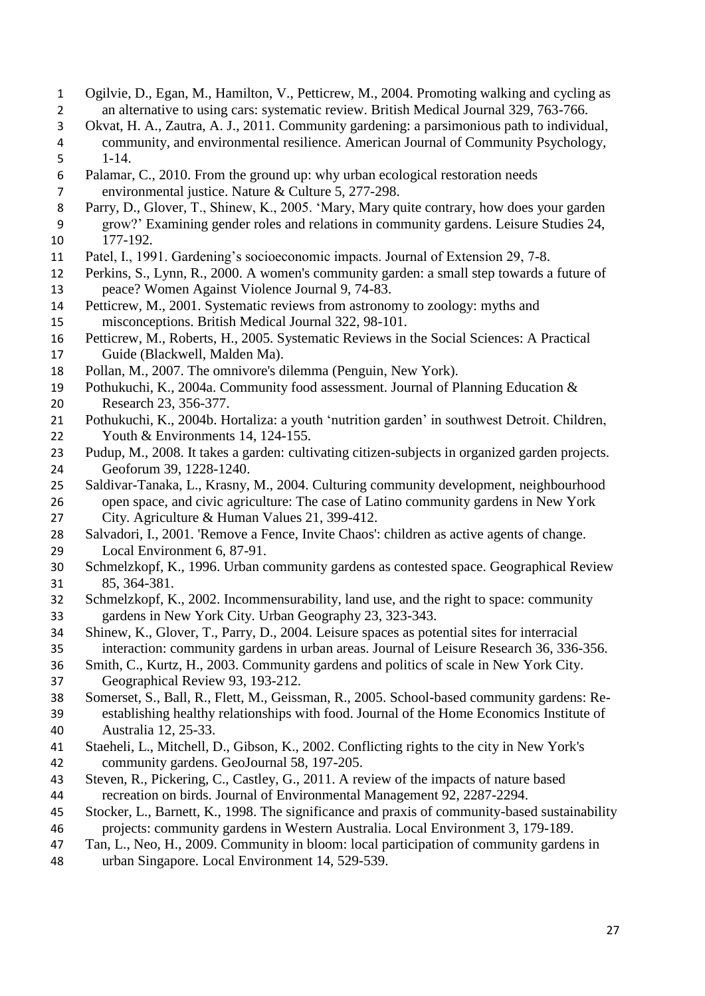- Ogilvie, D., Egan, M., Hamilton, V., Petticrew, M., 2004. Promoting walking and cycling as an alternative to using cars: systematic review. British Medical Journal 329, 763-766.
- Okvat, H. A., Zautra, A. J., 2011. Community gardening: a parsimonious path to individual, community, and environmental resilience. American Journal of Community Psychology, 1-14.
- Palamar, C., 2010. From the ground up: why urban ecological restoration needs environmental justice. Nature & Culture 5, 277-298.
- Parry, D., Glover, T., Shinew, K., 2005. 'Mary, Mary quite contrary, how does your garden grow?' Examining gender roles and relations in community gardens. Leisure Studies 24, 177-192.
- Patel, I., 1991. Gardening's socioeconomic impacts. Journal of Extension 29, 7-8.
- Perkins, S., Lynn, R., 2000. A women's community garden: a small step towards a future of peace? Women Against Violence Journal 9, 74-83.
- Petticrew, M., 2001. Systematic reviews from astronomy to zoology: myths and misconceptions. British Medical Journal 322, 98-101.
- Petticrew, M., Roberts, H., 2005. Systematic Reviews in the Social Sciences: A Practical Guide (Blackwell, Malden Ma).
- Pollan, M., 2007. The omnivore's dilemma (Penguin, New York).
- Pothukuchi, K., 2004a. Community food assessment. Journal of Planning Education & Research 23, 356-377.
- Pothukuchi, K., 2004b. Hortaliza: a youth 'nutrition garden' in southwest Detroit. Children, 22 Youth & Environments 14, 124-155.
- Pudup, M., 2008. It takes a garden: cultivating citizen-subjects in organized garden projects. Geoforum 39, 1228-1240.
- Saldivar-Tanaka, L., Krasny, M., 2004. Culturing community development, neighbourhood open space, and civic agriculture: The case of Latino community gardens in New York City. Agriculture & Human Values 21, 399-412.
- Salvadori, I., 2001. 'Remove a Fence, Invite Chaos': children as active agents of change. Local Environment 6, 87-91.
- Schmelzkopf, K., 1996. Urban community gardens as contested space. Geographical Review 85, 364-381.
- Schmelzkopf, K., 2002. Incommensurability, land use, and the right to space: community gardens in New York City. Urban Geography 23, 323-343.
- Shinew, K., Glover, T., Parry, D., 2004. Leisure spaces as potential sites for interracial interaction: community gardens in urban areas. Journal of Leisure Research 36, 336-356.
- Smith, C., Kurtz, H., 2003. Community gardens and politics of scale in New York City. Geographical Review 93, 193-212.
- Somerset, S., Ball, R., Flett, M., Geissman, R., 2005. School-based community gardens: Re- establishing healthy relationships with food. Journal of the Home Economics Institute of Australia 12, 25-33.
- Staeheli, L., Mitchell, D., Gibson, K., 2002. Conflicting rights to the city in New York's community gardens. GeoJournal 58, 197-205.
- Steven, R., Pickering, C., Castley, G., 2011. A review of the impacts of nature based recreation on birds. Journal of Environmental Management 92, 2287-2294.
- Stocker, L., Barnett, K., 1998. The significance and praxis of community-based sustainability
- projects: community gardens in Western Australia. Local Environment 3, 179-189.
- Tan, L., Neo, H., 2009. Community in bloom: local participation of community gardens in
- urban Singapore. Local Environment 14, 529-539.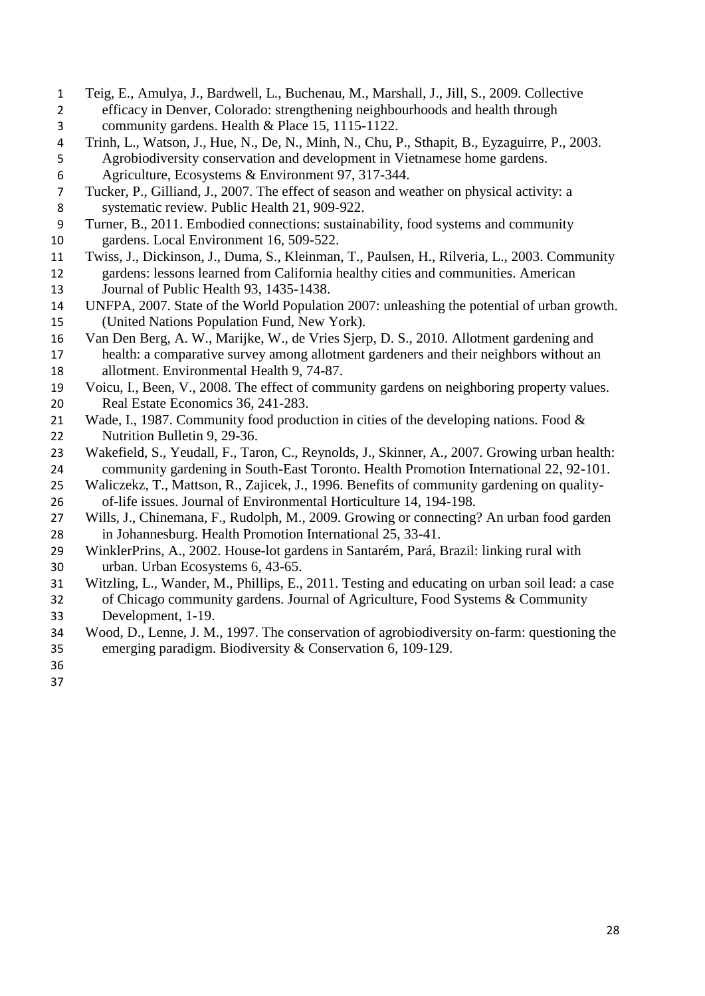- Teig, E., Amulya, J., Bardwell, L., Buchenau, M., Marshall, J., Jill, S., 2009. Collective efficacy in Denver, Colorado: strengthening neighbourhoods and health through community gardens. Health & Place 15, 1115-1122.
- Trinh, L., Watson, J., Hue, N., De, N., Minh, N., Chu, P., Sthapit, B., Eyzaguirre, P., 2003. Agrobiodiversity conservation and development in Vietnamese home gardens.
- Agriculture, Ecosystems & Environment 97, 317-344.
- Tucker, P., Gilliand, J., 2007. The effect of season and weather on physical activity: a systematic review. Public Health 21, 909-922.
- Turner, B., 2011. Embodied connections: sustainability, food systems and community gardens. Local Environment 16, 509-522.
- Twiss, J., Dickinson, J., Duma, S., Kleinman, T., Paulsen, H., Rilveria, L., 2003. Community gardens: lessons learned from California healthy cities and communities. American Journal of Public Health 93, 1435-1438.
- UNFPA, 2007. State of the World Population 2007: unleashing the potential of urban growth. (United Nations Population Fund, New York).
- Van Den Berg, A. W., Marijke, W., de Vries Sjerp, D. S., 2010. Allotment gardening and health: a comparative survey among allotment gardeners and their neighbors without an allotment. Environmental Health 9, 74-87.
- Voicu, I., Been, V., 2008. The effect of community gardens on neighboring property values. Real Estate Economics 36, 241-283.
- 21 Wade, I., 1987. Community food production in cities of the developing nations. Food & Nutrition Bulletin 9, 29-36.
- Wakefield, S., Yeudall, F., Taron, C., Reynolds, J., Skinner, A., 2007. Growing urban health: community gardening in South-East Toronto. Health Promotion International 22, 92-101.
- Waliczekz, T., Mattson, R., Zajicek, J., 1996. Benefits of community gardening on quality-of-life issues. Journal of Environmental Horticulture 14, 194-198.
- Wills, J., Chinemana, F., Rudolph, M., 2009. Growing or connecting? An urban food garden in Johannesburg. Health Promotion International 25, 33-41.
- WinklerPrins, A., 2002. House-lot gardens in Santarém, Pará, Brazil: linking rural with urban. Urban Ecosystems 6, 43-65.
- Witzling, L., Wander, M., Phillips, E., 2011. Testing and educating on urban soil lead: a case of Chicago community gardens. Journal of Agriculture, Food Systems & Community Development, 1-19.
- Wood, D., Lenne, J. M., 1997. The conservation of agrobiodiversity on-farm: questioning the emerging paradigm. Biodiversity & Conservation 6, 109-129.
- 
-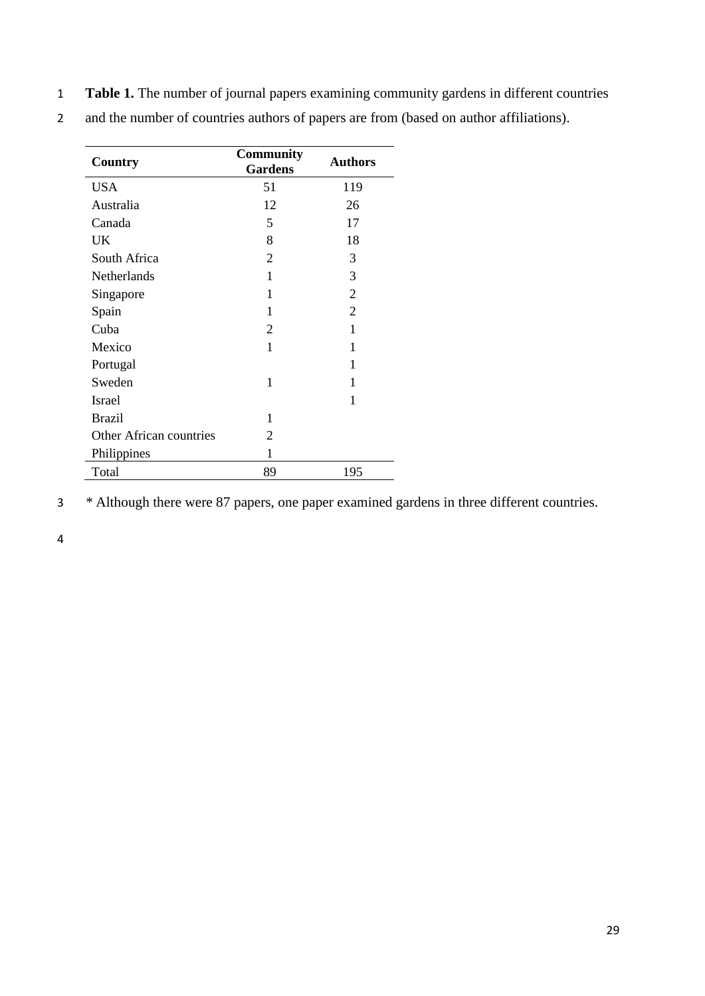1 **Table 1.** The number of journal papers examining community gardens in different countries

| Country                        | <b>Community</b><br><b>Gardens</b> | <b>Authors</b> |  |  |  |
|--------------------------------|------------------------------------|----------------|--|--|--|
| <b>USA</b>                     | 51                                 | 119            |  |  |  |
| Australia                      | 12                                 | 26             |  |  |  |
| Canada                         | 5                                  | 17             |  |  |  |
| UK                             | 8                                  | 18             |  |  |  |
| South Africa                   | 2                                  | 3              |  |  |  |
| Netherlands                    | 1                                  | 3              |  |  |  |
| Singapore                      | 1                                  | $\overline{2}$ |  |  |  |
| Spain                          | 1                                  | $\overline{2}$ |  |  |  |
| Cuba                           | $\overline{2}$                     | 1              |  |  |  |
| Mexico                         | 1                                  | 1              |  |  |  |
| Portugal                       |                                    | 1              |  |  |  |
| Sweden                         | 1                                  | 1              |  |  |  |
| <b>Israel</b>                  |                                    | 1              |  |  |  |
| <b>Brazil</b>                  | 1                                  |                |  |  |  |
| <b>Other African countries</b> | 2                                  |                |  |  |  |
| Philippines                    | 1                                  |                |  |  |  |
| Total                          | 89                                 | 195            |  |  |  |

2 and the number of countries authors of papers are from (based on author affiliations).

3 *\** Although there were 87 papers, one paper examined gardens in three different countries.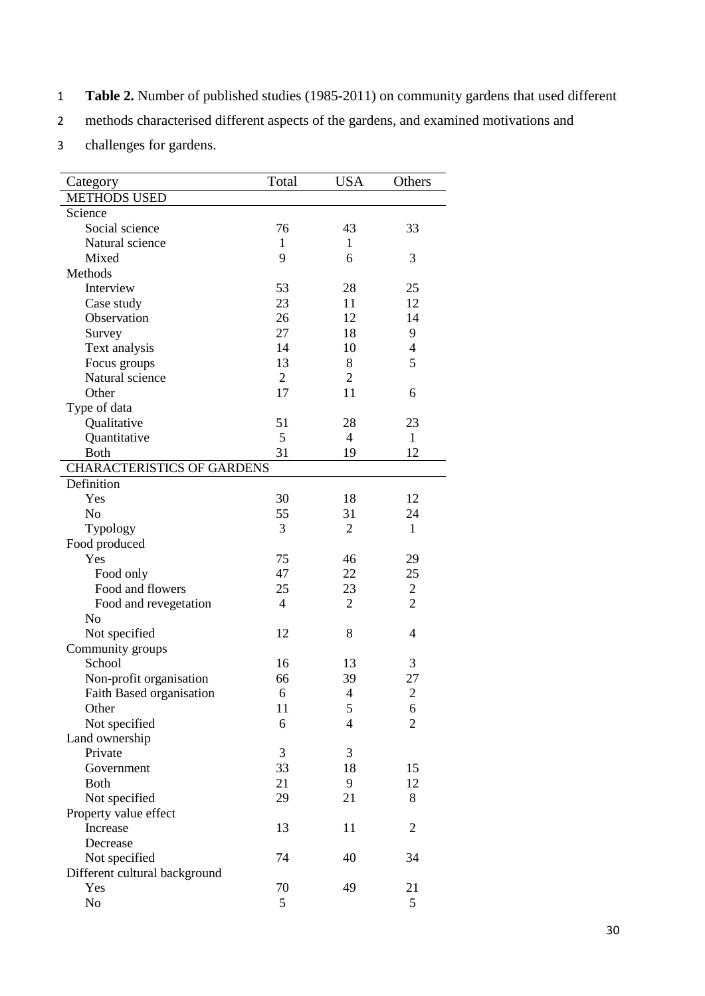- 1 **Table 2.** Number of published studies (1985-2011) on community gardens that used different
- 2 methods characterised different aspects of the gardens, and examined motivations and
- 3 challenges for gardens.

| Category                          | Total          | <b>USA</b>     | Others                   |
|-----------------------------------|----------------|----------------|--------------------------|
| <b>METHODS USED</b>               |                |                |                          |
| Science                           |                |                |                          |
| Social science                    | 76             | 43             | 33                       |
| Natural science                   | 1              | 1              |                          |
| Mixed                             | 9              | 6              | 3                        |
| Methods                           |                |                |                          |
| Interview                         | 53             | 28             | 25                       |
| Case study                        | 23             | 11             | 12                       |
| Observation                       | 26             | 12             | 14                       |
| Survey                            | 27             | 18             | 9                        |
|                                   | 14             | 10             | $\overline{\mathcal{A}}$ |
| Text analysis                     | 13             | 8              | 5                        |
| Focus groups<br>Natural science   | 2              | $\overline{2}$ |                          |
|                                   |                |                |                          |
| Other                             | 17             | 11             | 6                        |
| Type of data                      |                |                |                          |
| Qualitative                       | 51             | 28             | 23                       |
| Quantitative                      | 5              | 4              | 1                        |
| <b>Both</b>                       | 31             | 19             | 12                       |
| <b>CHARACTERISTICS OF GARDENS</b> |                |                |                          |
| Definition                        |                |                |                          |
| Yes                               | 30             | 18             | 12                       |
| N <sub>o</sub>                    | 55             | 31             | 24                       |
| Typology                          | 3              | $\overline{2}$ | $\mathbf{1}$             |
| Food produced                     |                |                |                          |
| Yes                               | 75             | 46             | 29                       |
| Food only                         | 47             | 22             | 25                       |
| Food and flowers                  | 25             | 23             | $\mathfrak{2}$           |
| Food and revegetation             | $\overline{4}$ | $\overline{2}$ | $\overline{2}$           |
| N <sub>o</sub>                    |                |                |                          |
| Not specified                     | 12             | 8              | 4                        |
| Community groups                  |                |                |                          |
| School                            | 16             | 13             | 3                        |
| Non-profit organisation           | 66             | 39             | 27                       |
| Faith Based organisation          | 6              | $\overline{4}$ | $\overline{2}$           |
| Other                             | 11             | 5              | 6                        |
| Not specified                     | 6              | 4              | $\overline{2}$           |
| Land ownership                    |                |                |                          |
| Private                           | 3              | 3              |                          |
| Government                        | 33             | 18             | 15                       |
| <b>Both</b>                       | 21             | 9              | 12                       |
| Not specified                     | 29             | 21             | 8                        |
| Property value effect             |                |                |                          |
| Increase                          | 13             | 11             | $\overline{2}$           |
| Decrease                          |                |                |                          |
|                                   | 74             | 40             | 34                       |
| Not specified                     |                |                |                          |
| Different cultural background     |                |                |                          |
| Yes                               | 70             | 49             | 21                       |
| No                                | 5              |                | 5                        |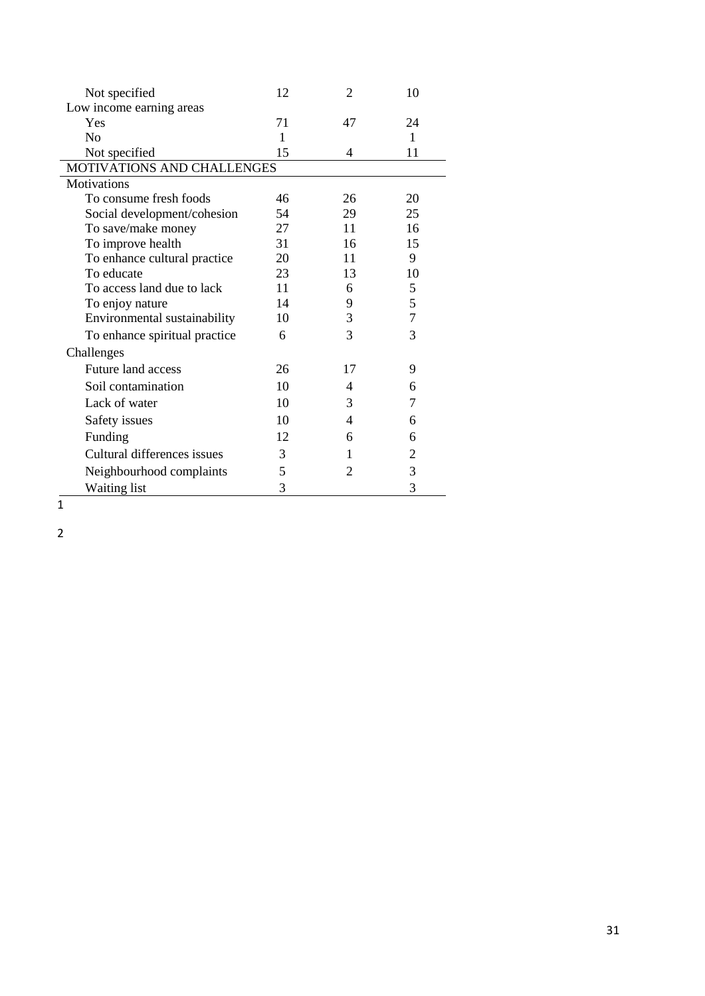| Not specified                 | 12 | 2  | 10             |
|-------------------------------|----|----|----------------|
| Low income earning areas      |    |    |                |
| Yes                           | 71 | 47 | 24             |
| N <sub>o</sub>                | 1  |    | 1              |
| Not specified                 | 15 | 4  | 11             |
| MOTIVATIONS AND CHALLENGES    |    |    |                |
| <b>Motivations</b>            |    |    |                |
| To consume fresh foods        | 46 | 26 | 20             |
| Social development/cohesion   | 54 | 29 | 25             |
| To save/make money            | 27 | 11 | 16             |
| To improve health             | 31 | 16 | 15             |
| To enhance cultural practice  | 20 | 11 | 9              |
| To educate                    | 23 | 13 | 10             |
| To access land due to lack    | 11 | 6  | 5              |
| To enjoy nature               | 14 | 9  | 5              |
| Environmental sustainability  | 10 | 3  | $\overline{7}$ |
| To enhance spiritual practice | 6  | 3  | 3              |
| Challenges                    |    |    |                |
| <b>Future land access</b>     | 26 | 17 | 9              |
| Soil contamination            | 10 | 4  | 6              |
| Lack of water                 | 10 | 3  | 7              |
| Safety issues                 | 10 | 4  | 6              |
| Funding                       | 12 | 6  | 6              |
| Cultural differences issues   | 3  | 1  | 2              |
| Neighbourhood complaints      | 5  | 2  | 3              |
| <b>Waiting list</b>           | 3  |    | 3              |

# $\overline{1}$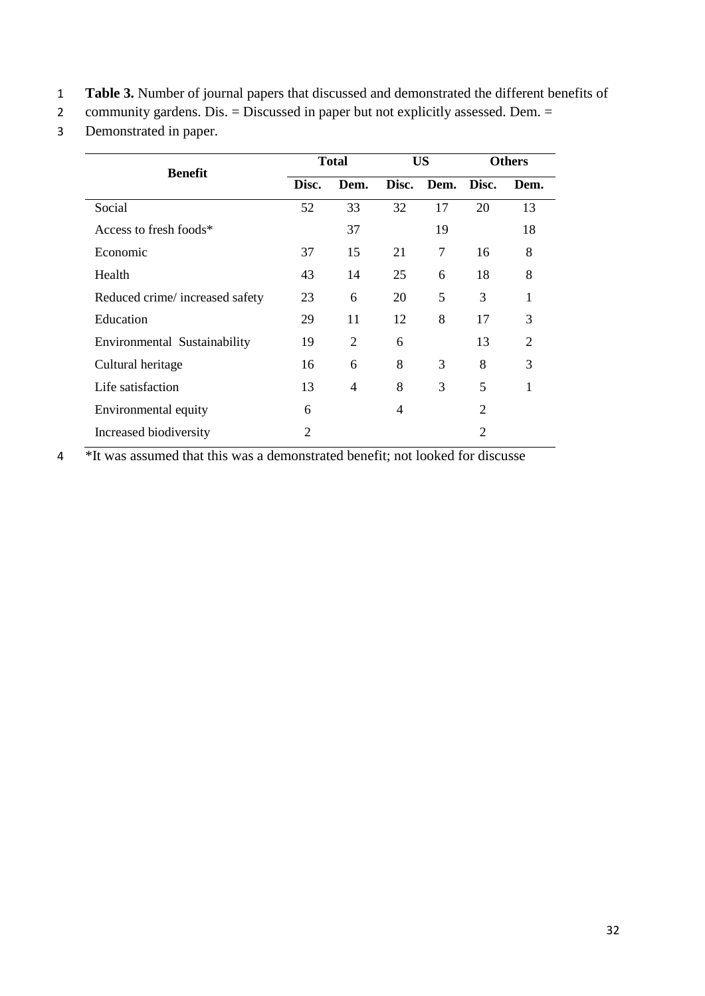- 1 **Table 3.** Number of journal papers that discussed and demonstrated the different benefits of
- 2 community gardens. Dis. = Discussed in paper but not explicitly assessed. Dem. =
- 3 Demonstrated in paper.

| <b>Benefit</b>                 |                | <b>Total</b>   |       | <b>US</b>  | <b>Others</b> |                |
|--------------------------------|----------------|----------------|-------|------------|---------------|----------------|
|                                | Disc.          | Dem.           | Disc. | Dem. Disc. |               | Dem.           |
| Social                         | 52             | 33             | 32    | 17         | 20            | 13             |
| Access to fresh foods*         |                | 37             |       | 19         |               | 18             |
| Economic                       | 37             | 15             | 21    | 7          | 16            | 8              |
| Health                         | 43             | 14             | 25    | 6          | 18            | 8              |
| Reduced crime/increased safety | 23             | 6              | 20    | 5          | 3             | 1              |
| Education                      | 29             | 11             | 12    | 8          | 17            | 3              |
| Environmental Sustainability   | 19             | 2              | 6     |            | 13            | $\overline{2}$ |
| Cultural heritage              | 16             | 6              | 8     | 3          | 8             | 3              |
| Life satisfaction              | 13             | $\overline{4}$ | 8     | 3          | 5             | 1              |
| Environmental equity           | 6              |                | 4     |            | 2             |                |
| Increased biodiversity         | $\overline{2}$ |                |       |            | 2             |                |

4 \*It was assumed that this was a demonstrated benefit; not looked for discusse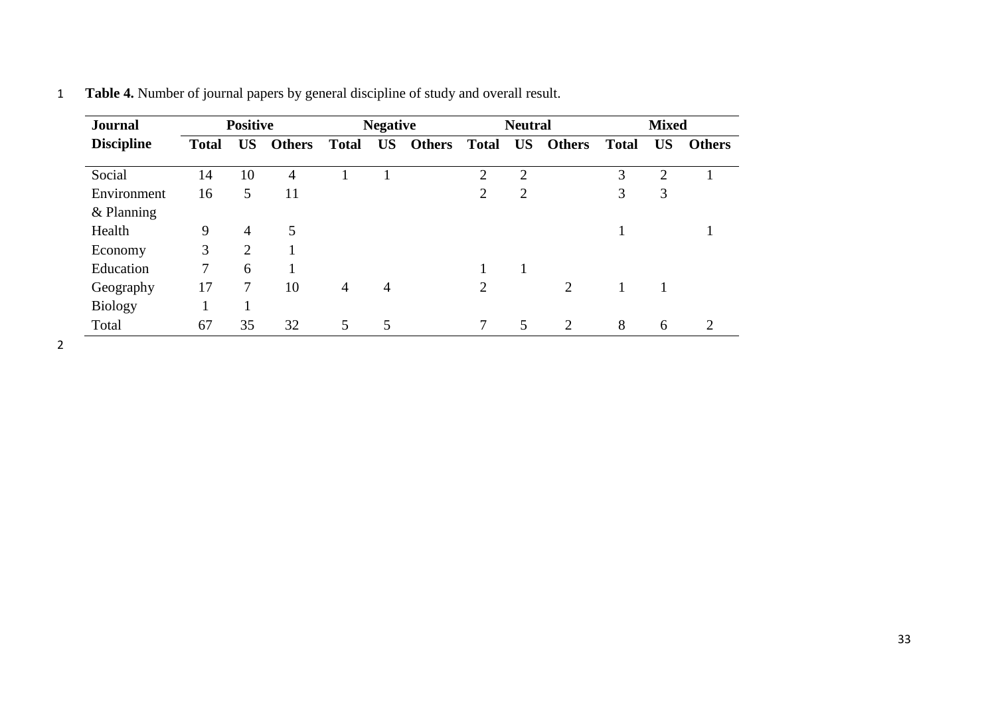| <b>Journal</b>    |              | <b>Positive</b> |               |                | <b>Negative</b><br><b>Neutral</b> |               | <b>Mixed</b>   |                |                |              |                |               |
|-------------------|--------------|-----------------|---------------|----------------|-----------------------------------|---------------|----------------|----------------|----------------|--------------|----------------|---------------|
| <b>Discipline</b> | <b>Total</b> | <b>US</b>       | <b>Others</b> | <b>Total</b>   | <b>US</b>                         | <b>Others</b> | <b>Total</b>   | <b>US</b>      | <b>Others</b>  | <b>Total</b> | <b>US</b>      | <b>Others</b> |
| Social            | 14           | 10              | 4             |                |                                   |               | $\overline{2}$ | $\overline{2}$ |                | 3            | $\overline{2}$ |               |
| Environment       | 16           | 5               | 11            |                |                                   |               | 2              | $\overline{2}$ |                | 3            | 3              |               |
| $&$ Planning      |              |                 |               |                |                                   |               |                |                |                |              |                |               |
| Health            | 9            | $\overline{4}$  | 5             |                |                                   |               |                |                |                |              |                |               |
| Economy           | 3            | 2               |               |                |                                   |               |                |                |                |              |                |               |
| Education         | $\tau$       | 6               |               |                |                                   |               |                | 1              |                |              |                |               |
| Geography         | 17           | 7               | 10            | $\overline{4}$ | $\overline{4}$                    |               | $\overline{2}$ |                | $\overline{2}$ |              |                |               |
| <b>Biology</b>    |              |                 |               |                |                                   |               |                |                |                |              |                |               |
| Total             | 67           | 35              | 32            | 5              | 5                                 |               | 7              | 5              | 2              | 8            | 6              | 2             |

1 **Table 4.** Number of journal papers by general discipline of study and overall result.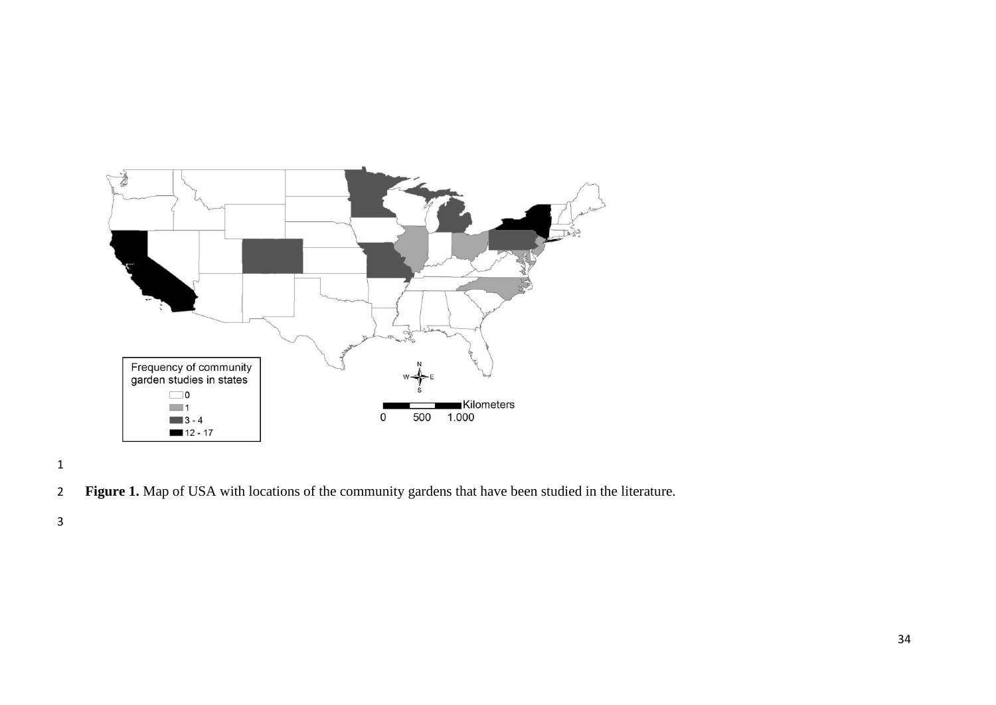

**Figure 1.** Map of USA with locations of the community gardens that have been studied in the literature.